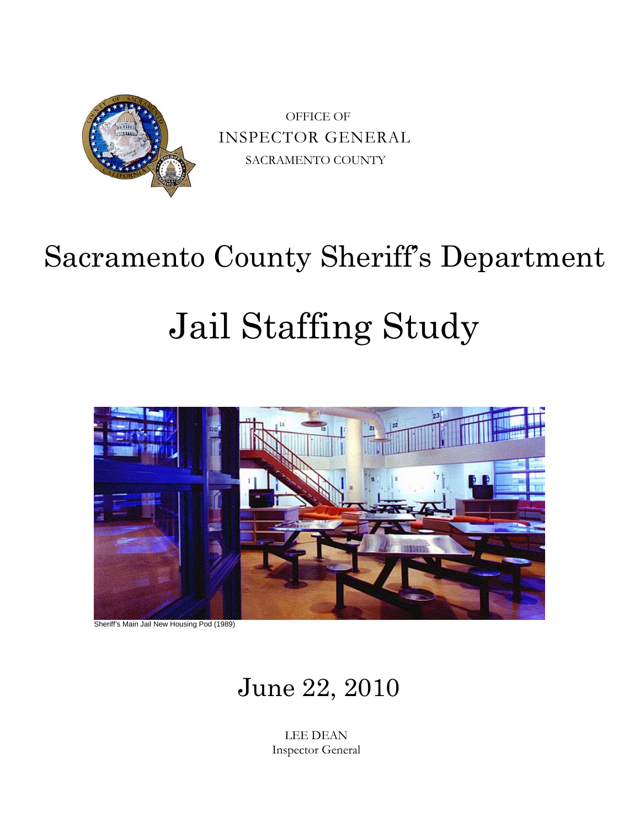

OFFICE OF INSPECTOR GENERAL SACRAMENTO COUNTY

# Sacramento County Sheriff's Department

# Jail Staffing Study



Sheriff's Main Jail New Housing Pod (1989)

# June 22, 2010

LEE DEAN Inspector General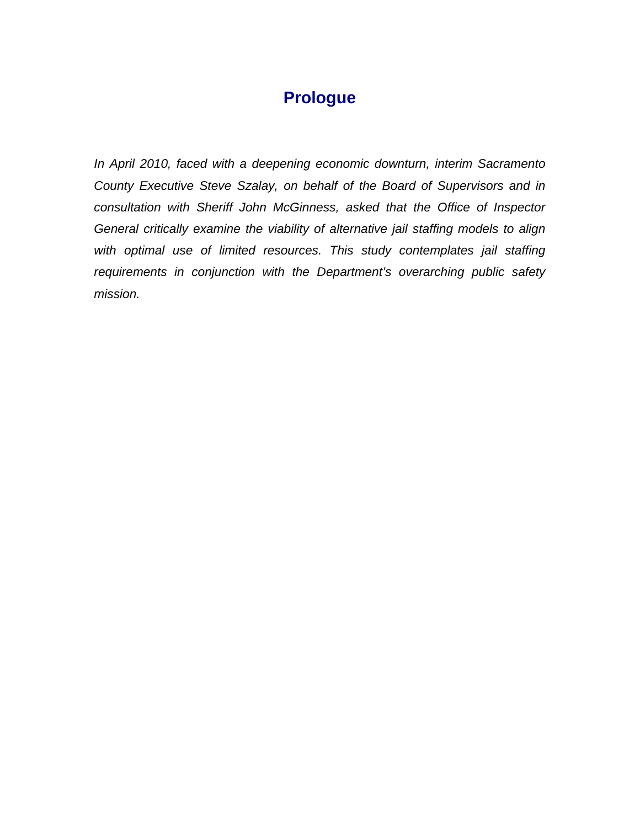# **Prologue**

*In April 2010, faced with a deepening economic downturn, interim Sacramento County Executive Steve Szalay, on behalf of the Board of Supervisors and in consultation with Sheriff John McGinness, asked that the Office of Inspector General critically examine the viability of alternative jail staffing models to align with optimal use of limited resources. This study contemplates jail staffing requirements in conjunction with the Department's overarching public safety mission.*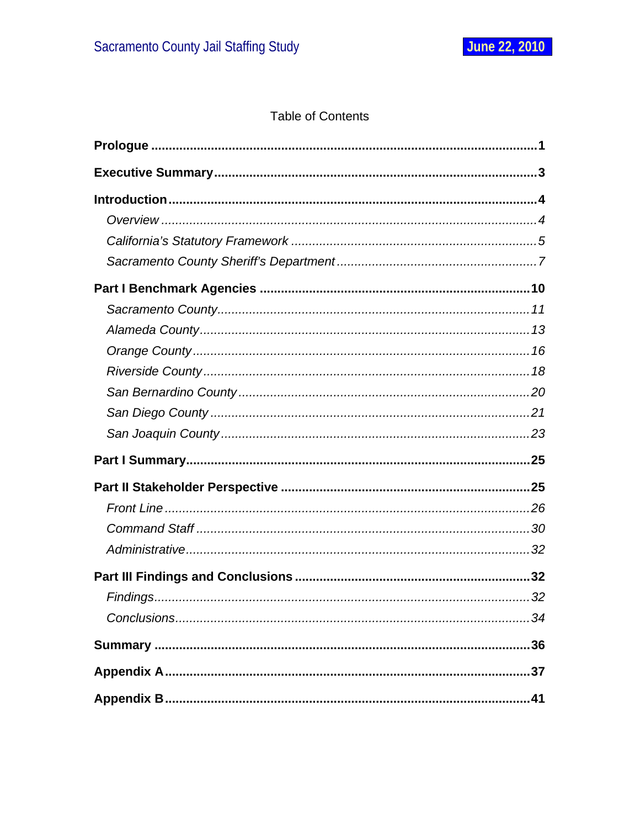### **Table of Contents**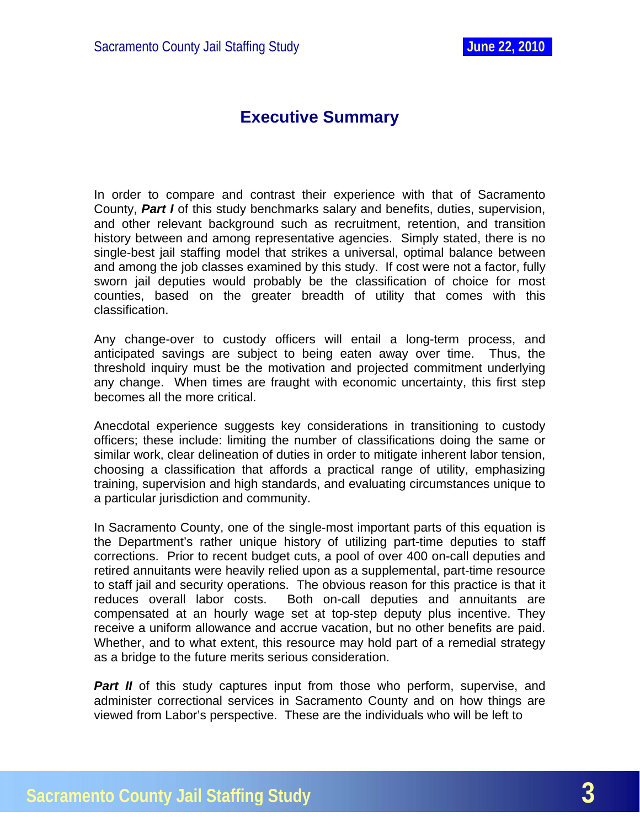# **Executive Summary**

<span id="page-3-0"></span>In order to compare and contrast their experience with that of Sacramento County, *Part I* of this study benchmarks salary and benefits, duties, supervision, and other relevant background such as recruitment, retention, and transition history between and among representative agencies. Simply stated, there is no single-best jail staffing model that strikes a universal, optimal balance between and among the job classes examined by this study. If cost were not a factor, fully sworn jail deputies would probably be the classification of choice for most counties, based on the greater breadth of utility that comes with this classification.

Any change-over to custody officers will entail a long-term process, and anticipated savings are subject to being eaten away over time. Thus, the threshold inquiry must be the motivation and projected commitment underlying any change. When times are fraught with economic uncertainty, this first step becomes all the more critical.

Anecdotal experience suggests key considerations in transitioning to custody officers; these include: limiting the number of classifications doing the same or similar work, clear delineation of duties in order to mitigate inherent labor tension, choosing a classification that affords a practical range of utility, emphasizing training, supervision and high standards, and evaluating circumstances unique to a particular jurisdiction and community.

In Sacramento County, one of the single-most important parts of this equation is the Department's rather unique history of utilizing part-time deputies to staff corrections. Prior to recent budget cuts, a pool of over 400 on-call deputies and retired annuitants were heavily relied upon as a supplemental, part-time resource to staff jail and security operations. The obvious reason for this practice is that it reduces overall labor costs. Both on-call deputies and annuitants are compensated at an hourly wage set at top-step deputy plus incentive. They receive a uniform allowance and accrue vacation, but no other benefits are paid. Whether, and to what extent, this resource may hold part of a remedial strategy as a bridge to the future merits serious consideration.

**Part II** of this study captures input from those who perform, supervise, and administer correctional services in Sacramento County and on how things are viewed from Labor's perspective. These are the individuals who will be left to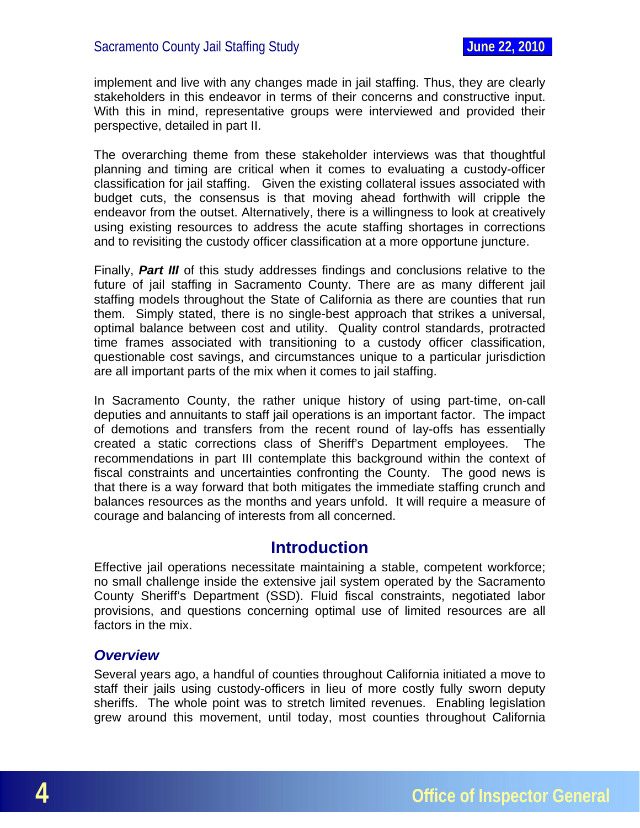<span id="page-4-0"></span>implement and live with any changes made in jail staffing. Thus, they are clearly stakeholders in this endeavor in terms of their concerns and constructive input. With this in mind, representative groups were interviewed and provided their perspective, detailed in part II.

The overarching theme from these stakeholder interviews was that thoughtful planning and timing are critical when it comes to evaluating a custody-officer classification for jail staffing. Given the existing collateral issues associated with budget cuts, the consensus is that moving ahead forthwith will cripple the endeavor from the outset. Alternatively, there is a willingness to look at creatively using existing resources to address the acute staffing shortages in corrections and to revisiting the custody officer classification at a more opportune juncture.

Finally, *Part III* of this study addresses findings and conclusions relative to the future of jail staffing in Sacramento County. There are as many different jail staffing models throughout the State of California as there are counties that run them. Simply stated, there is no single-best approach that strikes a universal, optimal balance between cost and utility. Quality control standards, protracted time frames associated with transitioning to a custody officer classification, questionable cost savings, and circumstances unique to a particular jurisdiction are all important parts of the mix when it comes to jail staffing.

In Sacramento County, the rather unique history of using part-time, on-call deputies and annuitants to staff jail operations is an important factor. The impact of demotions and transfers from the recent round of lay-offs has essentially created a static corrections class of Sheriff's Department employees. The recommendations in part III contemplate this background within the context of fiscal constraints and uncertainties confronting the County. The good news is that there is a way forward that both mitigates the immediate staffing crunch and balances resources as the months and years unfold. It will require a measure of courage and balancing of interests from all concerned.

#### **Introduction**

Effective jail operations necessitate maintaining a stable, competent workforce; no small challenge inside the extensive jail system operated by the Sacramento County Sheriff's Department (SSD). Fluid fiscal constraints, negotiated labor provisions, and questions concerning optimal use of limited resources are all factors in the mix.

#### *Overview*

Several years ago, a handful of counties throughout California initiated a move to staff their jails using custody-officers in lieu of more costly fully sworn deputy sheriffs. The whole point was to stretch limited revenues. Enabling legislation grew around this movement, until today, most counties throughout California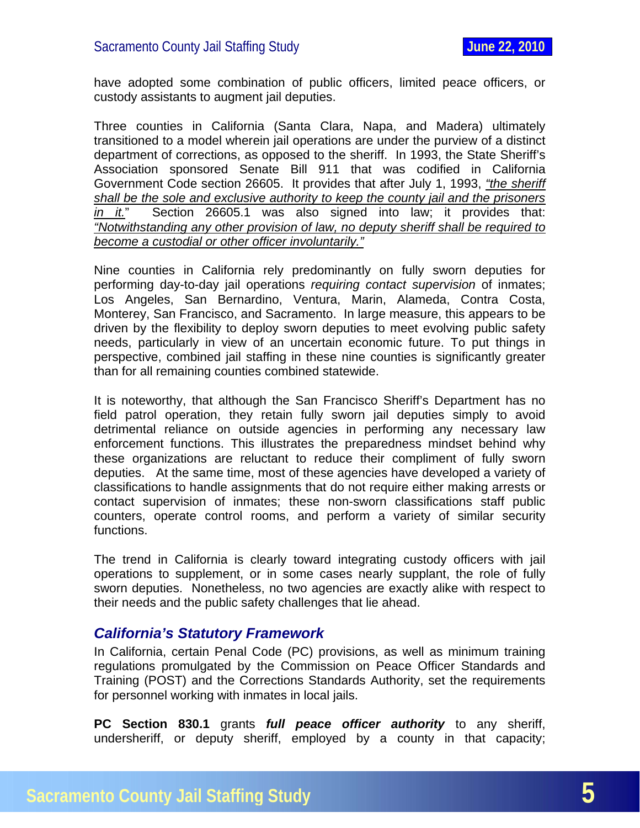<span id="page-5-0"></span>have adopted some combination of public officers, limited peace officers, or custody assistants to augment jail deputies.

Three counties in California (Santa Clara, Napa, and Madera) ultimately transitioned to a model wherein jail operations are under the purview of a distinct department of corrections, as opposed to the sheriff. In 1993, the State Sheriff's Association sponsored Senate Bill 911 that was codified in California Government Code section 26605. It provides that after July 1, 1993, *"the sheriff shall be the sole and exclusive authority to keep the county jail and the prisoners in it.*" Section 26605.1 was also signed into law; it provides that: *"Notwithstanding any other provision of law, no deputy sheriff shall be required to become a custodial or other officer involuntarily."*

Nine counties in California rely predominantly on fully sworn deputies for performing day-to-day jail operations *requiring contact supervision* of inmates; Los Angeles, San Bernardino, Ventura, Marin, Alameda, Contra Costa, Monterey, San Francisco, and Sacramento. In large measure, this appears to be driven by the flexibility to deploy sworn deputies to meet evolving public safety needs, particularly in view of an uncertain economic future. To put things in perspective, combined jail staffing in these nine counties is significantly greater than for all remaining counties combined statewide.

It is noteworthy, that although the San Francisco Sheriff's Department has no field patrol operation, they retain fully sworn jail deputies simply to avoid detrimental reliance on outside agencies in performing any necessary law enforcement functions. This illustrates the preparedness mindset behind why these organizations are reluctant to reduce their compliment of fully sworn deputies. At the same time, most of these agencies have developed a variety of classifications to handle assignments that do not require either making arrests or contact supervision of inmates; these non-sworn classifications staff public counters, operate control rooms, and perform a variety of similar security functions.

The trend in California is clearly toward integrating custody officers with jail operations to supplement, or in some cases nearly supplant, the role of fully sworn deputies. Nonetheless, no two agencies are exactly alike with respect to their needs and the public safety challenges that lie ahead.

#### *California's Statutory Framework*

In California, certain Penal Code (PC) provisions, as well as minimum training regulations promulgated by the Commission on Peace Officer Standards and Training (POST) and the Corrections Standards Authority, set the requirements for personnel working with inmates in local jails.

**PC Section 830.1** grants *full peace officer authority* to any sheriff, undersheriff, or deputy sheriff, employed by a county in that capacity;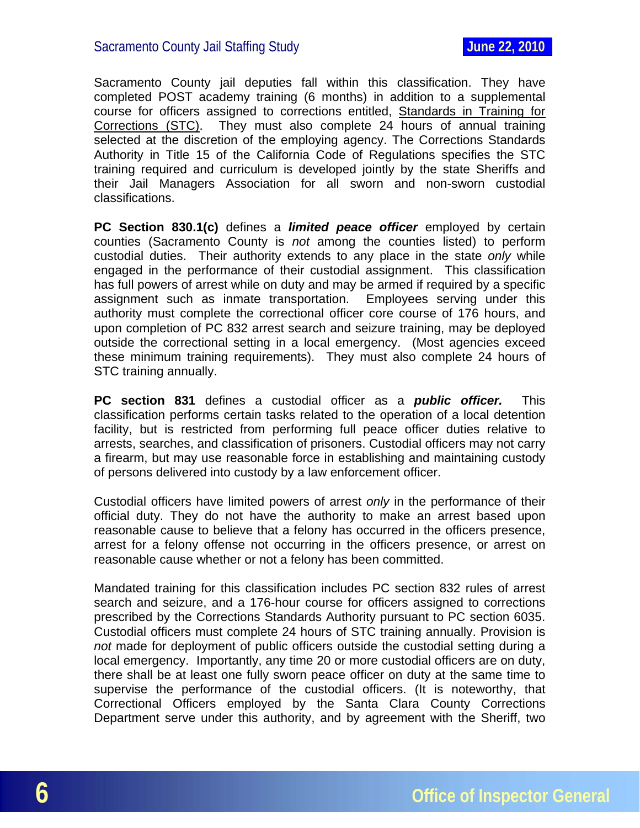Sacramento County jail deputies fall within this classification. They have completed POST academy training (6 months) in addition to a supplemental course for officers assigned to corrections entitled, Standards in Training for Corrections (STC). They must also complete 24 hours of annual training selected at the discretion of the employing agency. The Corrections Standards Authority in Title 15 of the California Code of Regulations specifies the STC training required and curriculum is developed jointly by the state Sheriffs and their Jail Managers Association for all sworn and non-sworn custodial classifications.

**PC Section 830.1(c)** defines a *limited peace officer* employed by certain counties (Sacramento County is *not* among the counties listed) to perform custodial duties. Their authority extends to any place in the state *only* while engaged in the performance of their custodial assignment. This classification has full powers of arrest while on duty and may be armed if required by a specific assignment such as inmate transportation. Employees serving under this authority must complete the correctional officer core course of 176 hours, and upon completion of PC 832 arrest search and seizure training, may be deployed outside the correctional setting in a local emergency. (Most agencies exceed these minimum training requirements). They must also complete 24 hours of STC training annually.

**PC section 831** defines a custodial officer as a *public officer.* This classification performs certain tasks related to the operation of a local detention facility, but is restricted from performing full peace officer duties relative to arrests, searches, and classification of prisoners. Custodial officers may not carry a firearm, but may use reasonable force in establishing and maintaining custody of persons delivered into custody by a law enforcement officer.

Custodial officers have limited powers of arrest *only* in the performance of their official duty. They do not have the authority to make an arrest based upon reasonable cause to believe that a felony has occurred in the officers presence, arrest for a felony offense not occurring in the officers presence, or arrest on reasonable cause whether or not a felony has been committed.

Mandated training for this classification includes PC section 832 rules of arrest search and seizure, and a 176-hour course for officers assigned to corrections prescribed by the Corrections Standards Authority pursuant to PC section 6035. Custodial officers must complete 24 hours of STC training annually. Provision is *not* made for deployment of public officers outside the custodial setting during a local emergency. Importantly, any time 20 or more custodial officers are on duty, there shall be at least one fully sworn peace officer on duty at the same time to supervise the performance of the custodial officers. (It is noteworthy, that Correctional Officers employed by the Santa Clara County Corrections Department serve under this authority, and by agreement with the Sheriff, two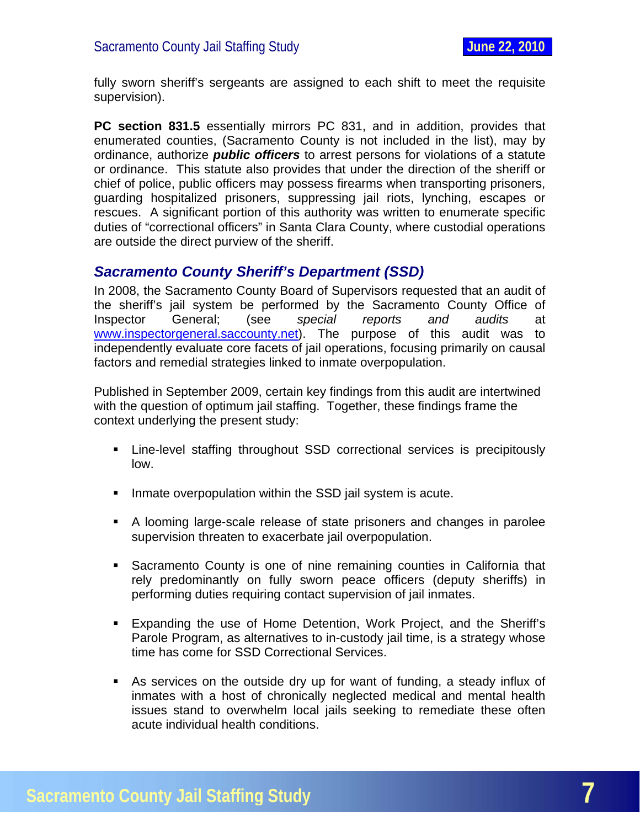<span id="page-7-0"></span>fully sworn sheriff's sergeants are assigned to each shift to meet the requisite supervision).

**PC section 831.5** essentially mirrors PC 831, and in addition, provides that enumerated counties, (Sacramento County is not included in the list), may by ordinance, authorize *public officers* to arrest persons for violations of a statute or ordinance. This statute also provides that under the direction of the sheriff or chief of police, public officers may possess firearms when transporting prisoners, guarding hospitalized prisoners, suppressing jail riots, lynching, escapes or rescues. A significant portion of this authority was written to enumerate specific duties of "correctional officers" in Santa Clara County, where custodial operations are outside the direct purview of the sheriff.

#### *Sacramento County Sheriff's Department (SSD)*

In 2008, the Sacramento County Board of Supervisors requested that an audit of the sheriff's jail system be performed by the Sacramento County Office of Inspector General; (see *special reports and audits* at [www.inspectorgeneral.saccounty.net](http://www.inspectorgeneral.saccounty.net/)). The purpose of this audit was to independently evaluate core facets of jail operations, focusing primarily on causal factors and remedial strategies linked to inmate overpopulation.

Published in September 2009, certain key findings from this audit are intertwined with the question of optimum jail staffing. Together, these findings frame the context underlying the present study:

- Line-level staffing throughout SSD correctional services is precipitously low.
- **IF Inmate overpopulation within the SSD jail system is acute.**
- A looming large-scale release of state prisoners and changes in parolee supervision threaten to exacerbate jail overpopulation.
- Sacramento County is one of nine remaining counties in California that rely predominantly on fully sworn peace officers (deputy sheriffs) in performing duties requiring contact supervision of jail inmates.
- Expanding the use of Home Detention, Work Project, and the Sheriff's Parole Program, as alternatives to in-custody jail time, is a strategy whose time has come for SSD Correctional Services.
- As services on the outside dry up for want of funding, a steady influx of inmates with a host of chronically neglected medical and mental health issues stand to overwhelm local jails seeking to remediate these often acute individual health conditions.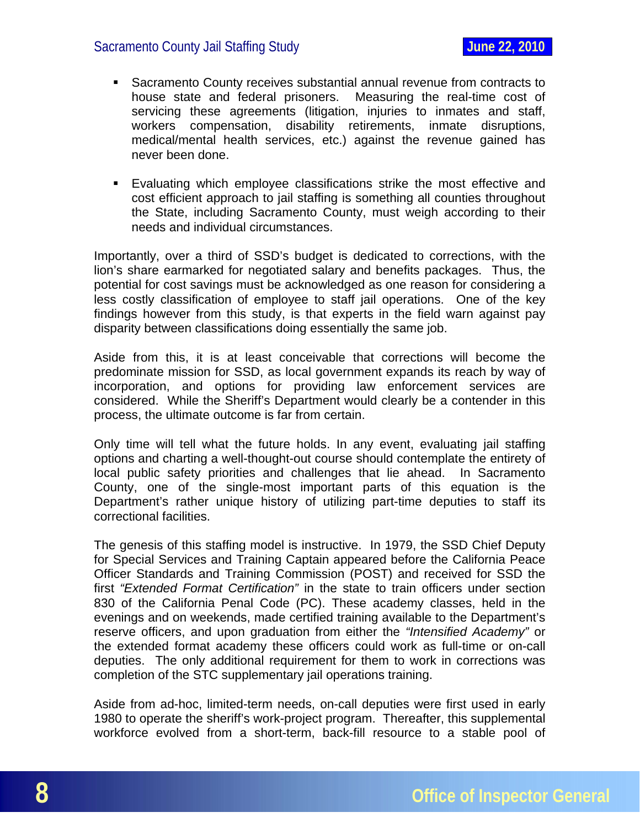- Sacramento County receives substantial annual revenue from contracts to house state and federal prisoners. Measuring the real-time cost of servicing these agreements (litigation, injuries to inmates and staff, workers compensation, disability retirements, inmate disruptions, medical/mental health services, etc.) against the revenue gained has never been done.
- Evaluating which employee classifications strike the most effective and cost efficient approach to jail staffing is something all counties throughout the State, including Sacramento County, must weigh according to their needs and individual circumstances.

Importantly, over a third of SSD's budget is dedicated to corrections, with the lion's share earmarked for negotiated salary and benefits packages. Thus, the potential for cost savings must be acknowledged as one reason for considering a less costly classification of employee to staff jail operations. One of the key findings however from this study, is that experts in the field warn against pay disparity between classifications doing essentially the same job.

Aside from this, it is at least conceivable that corrections will become the predominate mission for SSD, as local government expands its reach by way of incorporation, and options for providing law enforcement services are considered. While the Sheriff's Department would clearly be a contender in this process, the ultimate outcome is far from certain.

Only time will tell what the future holds. In any event, evaluating jail staffing options and charting a well-thought-out course should contemplate the entirety of local public safety priorities and challenges that lie ahead. In Sacramento County, one of the single-most important parts of this equation is the Department's rather unique history of utilizing part-time deputies to staff its correctional facilities.

The genesis of this staffing model is instructive. In 1979, the SSD Chief Deputy for Special Services and Training Captain appeared before the California Peace Officer Standards and Training Commission (POST) and received for SSD the first *"Extended Format Certification"* in the state to train officers under section 830 of the California Penal Code (PC). These academy classes, held in the evenings and on weekends, made certified training available to the Department's reserve officers, and upon graduation from either the *"Intensified Academy"* or the extended format academy these officers could work as full-time or on-call deputies. The only additional requirement for them to work in corrections was completion of the STC supplementary jail operations training.

Aside from ad-hoc, limited-term needs, on-call deputies were first used in early 1980 to operate the sheriff's work-project program. Thereafter, this supplemental workforce evolved from a short-term, back-fill resource to a stable pool of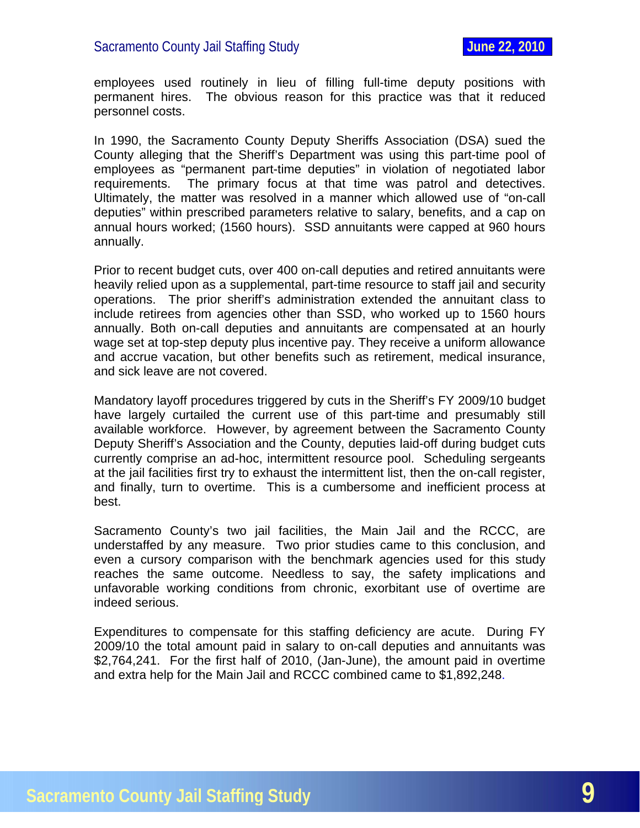employees used routinely in lieu of filling full-time deputy positions with permanent hires. The obvious reason for this practice was that it reduced personnel costs.

In 1990, the Sacramento County Deputy Sheriffs Association (DSA) sued the County alleging that the Sheriff's Department was using this part-time pool of employees as "permanent part-time deputies" in violation of negotiated labor requirements. The primary focus at that time was patrol and detectives. Ultimately, the matter was resolved in a manner which allowed use of "on-call deputies" within prescribed parameters relative to salary, benefits, and a cap on annual hours worked; (1560 hours). SSD annuitants were capped at 960 hours annually.

Prior to recent budget cuts, over 400 on-call deputies and retired annuitants were heavily relied upon as a supplemental, part-time resource to staff jail and security operations. The prior sheriff's administration extended the annuitant class to include retirees from agencies other than SSD, who worked up to 1560 hours annually. Both on-call deputies and annuitants are compensated at an hourly wage set at top-step deputy plus incentive pay. They receive a uniform allowance and accrue vacation, but other benefits such as retirement, medical insurance, and sick leave are not covered.

Mandatory layoff procedures triggered by cuts in the Sheriff's FY 2009/10 budget have largely curtailed the current use of this part-time and presumably still available workforce. However, by agreement between the Sacramento County Deputy Sheriff's Association and the County, deputies laid-off during budget cuts currently comprise an ad-hoc, intermittent resource pool. Scheduling sergeants at the jail facilities first try to exhaust the intermittent list, then the on-call register, and finally, turn to overtime. This is a cumbersome and inefficient process at best.

Sacramento County's two jail facilities, the Main Jail and the RCCC, are understaffed by any measure. Two prior studies came to this conclusion, and even a cursory comparison with the benchmark agencies used for this study reaches the same outcome. Needless to say, the safety implications and unfavorable working conditions from chronic, exorbitant use of overtime are indeed serious.

Expenditures to compensate for this staffing deficiency are acute. During FY 2009/10 the total amount paid in salary to on-call deputies and annuitants was \$2,764,241. For the first half of 2010, (Jan-June), the amount paid in overtime and extra help for the Main Jail and RCCC combined came to \$1,892,248.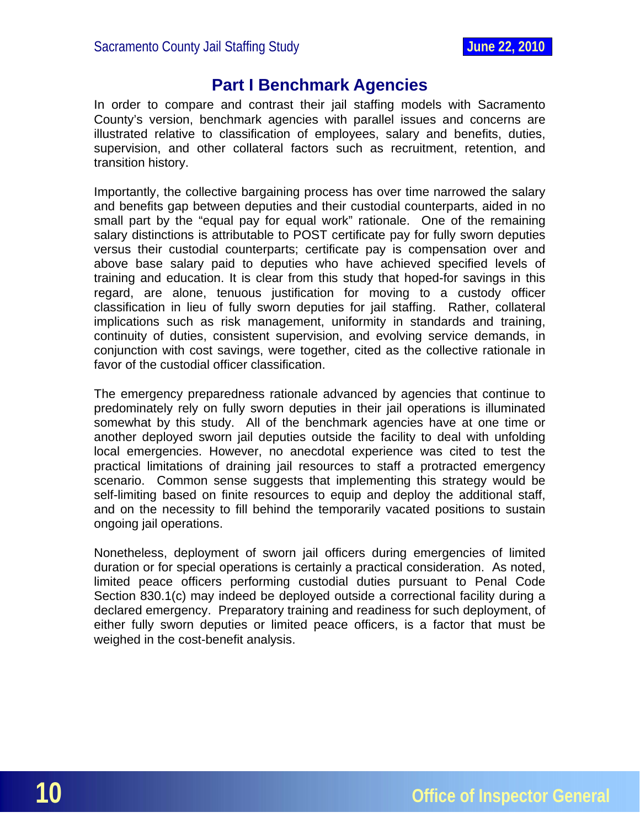# **Part I Benchmark Agencies**

<span id="page-10-0"></span>In order to compare and contrast their jail staffing models with Sacramento County's version, benchmark agencies with parallel issues and concerns are illustrated relative to classification of employees, salary and benefits, duties, supervision, and other collateral factors such as recruitment, retention, and transition history.

Importantly, the collective bargaining process has over time narrowed the salary and benefits gap between deputies and their custodial counterparts, aided in no small part by the "equal pay for equal work" rationale. One of the remaining salary distinctions is attributable to POST certificate pay for fully sworn deputies versus their custodial counterparts; certificate pay is compensation over and above base salary paid to deputies who have achieved specified levels of training and education. It is clear from this study that hoped-for savings in this regard, are alone, tenuous justification for moving to a custody officer classification in lieu of fully sworn deputies for jail staffing. Rather, collateral implications such as risk management, uniformity in standards and training, continuity of duties, consistent supervision, and evolving service demands, in conjunction with cost savings, were together, cited as the collective rationale in favor of the custodial officer classification.

The emergency preparedness rationale advanced by agencies that continue to predominately rely on fully sworn deputies in their jail operations is illuminated somewhat by this study. All of the benchmark agencies have at one time or another deployed sworn jail deputies outside the facility to deal with unfolding local emergencies. However, no anecdotal experience was cited to test the practical limitations of draining jail resources to staff a protracted emergency scenario. Common sense suggests that implementing this strategy would be self-limiting based on finite resources to equip and deploy the additional staff, and on the necessity to fill behind the temporarily vacated positions to sustain ongoing jail operations.

Nonetheless, deployment of sworn jail officers during emergencies of limited duration or for special operations is certainly a practical consideration. As noted, limited peace officers performing custodial duties pursuant to Penal Code Section 830.1(c) may indeed be deployed outside a correctional facility during a declared emergency. Preparatory training and readiness for such deployment, of either fully sworn deputies or limited peace officers, is a factor that must be weighed in the cost-benefit analysis.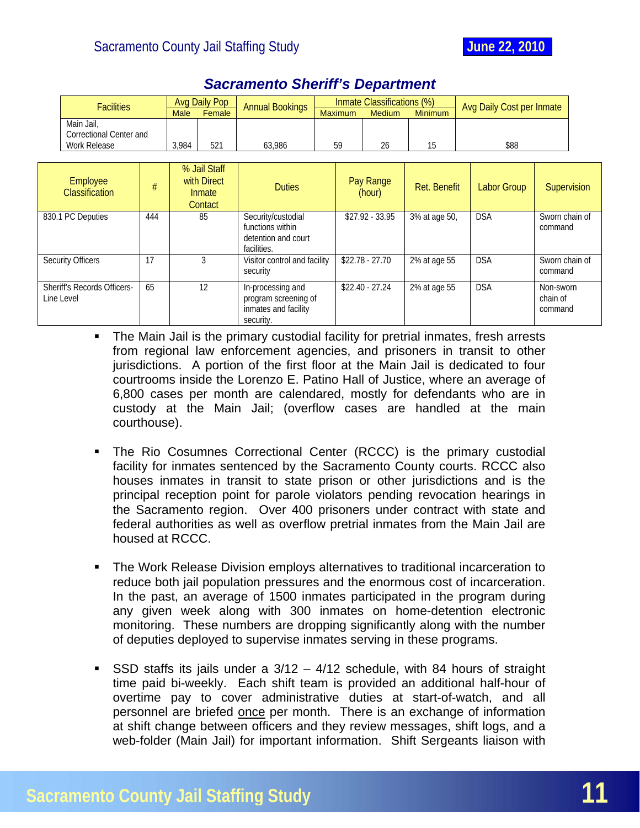Security Officers 17 17 3 Visitor control and facility

Sheriff's Records Officers-

Line Level

\$22.78 - 27.70 2% at age 55 DSA Sworn chain of

\$22.40 - 27.24 2% at age 55 DSA Non-sworn

command

command

chain of command

<span id="page-11-0"></span>

| <b>Facilities</b>                        |     |             | Avg Daily Pop                                           | <b>Annual Bookings</b> |         | Inmate Classifications (%) |                | Avg Daily Cost per Inmate |                |             |
|------------------------------------------|-----|-------------|---------------------------------------------------------|------------------------|---------|----------------------------|----------------|---------------------------|----------------|-------------|
|                                          |     | <b>Male</b> | Female                                                  |                        | Maximum | <b>Medium</b>              | <b>Minimum</b> |                           |                |             |
| Main Jail,<br>Correctional Center and    |     |             |                                                         |                        |         |                            |                |                           |                |             |
| Work Release                             |     | 3.984       | 521                                                     | 63,986                 | 59      | 26                         | 15             | \$88                      |                |             |
|                                          |     |             |                                                         |                        |         |                            |                |                           |                |             |
| <b>Employee</b><br><b>Classification</b> | #   |             | % Jail Staff<br>with Direct<br><b>Inmate</b><br>Contact | <b>Duties</b>          |         | Pay Range<br>(hour)        | Ret. Benefit   | <b>Labor Group</b>        |                | Supervision |
| 830.1 PC Deputies                        | 444 |             | 85                                                      | Security/custodial     |         | $$27.92 - 33.95$           | 3% at age 50.  | <b>DSA</b>                | Sworn chain of |             |

functions within detention and court

program screening of inmates and facility

facilities.

security

security.

65 12 In-processing and

## *Sacramento Sheriff's Department*

- The Main Jail is the primary custodial facility for pretrial inmates, fresh arrests from regional law enforcement agencies, and prisoners in transit to other jurisdictions. A portion of the first floor at the Main Jail is dedicated to four courtrooms inside the Lorenzo E. Patino Hall of Justice, where an average of 6,800 cases per month are calendared, mostly for defendants who are in custody at the Main Jail; (overflow cases are handled at the main courthouse).
- The Rio Cosumnes Correctional Center (RCCC) is the primary custodial facility for inmates sentenced by the Sacramento County courts. RCCC also houses inmates in transit to state prison or other jurisdictions and is the principal reception point for parole violators pending revocation hearings in the Sacramento region. Over 400 prisoners under contract with state and federal authorities as well as overflow pretrial inmates from the Main Jail are housed at RCCC.
- The Work Release Division employs alternatives to traditional incarceration to reduce both jail population pressures and the enormous cost of incarceration. In the past, an average of 1500 inmates participated in the program during any given week along with 300 inmates on home-detention electronic monitoring. These numbers are dropping significantly along with the number of deputies deployed to supervise inmates serving in these programs.
- SSD staffs its jails under a  $3/12 4/12$  schedule, with 84 hours of straight time paid bi-weekly. Each shift team is provided an additional half-hour of overtime pay to cover administrative duties at start-of-watch, and all personnel are briefed once per month. There is an exchange of information at shift change between officers and they review messages, shift logs, and a web-folder (Main Jail) for important information. Shift Sergeants liaison with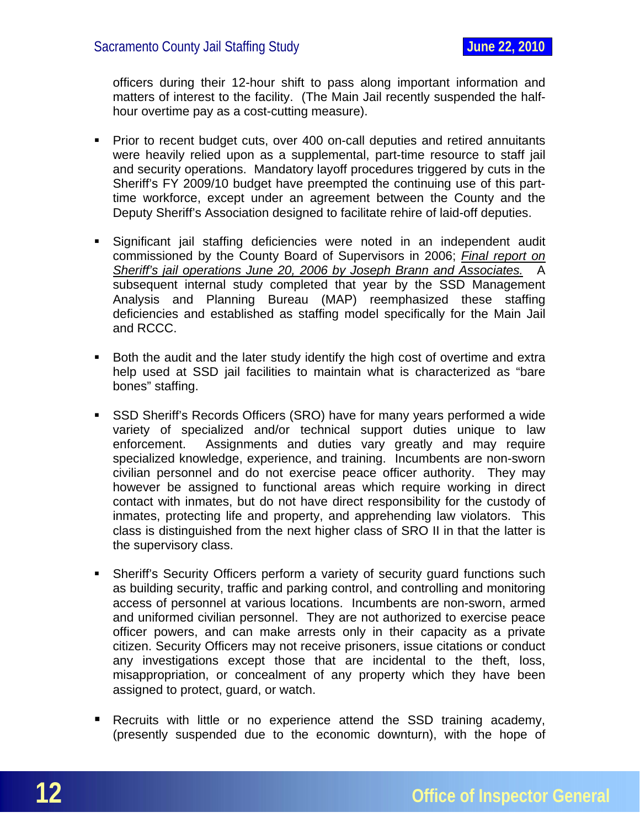officers during their 12-hour shift to pass along important information and matters of interest to the facility. (The Main Jail recently suspended the halfhour overtime pay as a cost-cutting measure).

- Prior to recent budget cuts, over 400 on-call deputies and retired annuitants were heavily relied upon as a supplemental, part-time resource to staff jail and security operations. Mandatory layoff procedures triggered by cuts in the Sheriff's FY 2009/10 budget have preempted the continuing use of this parttime workforce, except under an agreement between the County and the Deputy Sheriff's Association designed to facilitate rehire of laid-off deputies.
- Significant jail staffing deficiencies were noted in an independent audit commissioned by the County Board of Supervisors in 2006; *Final report on Sheriff's jail operations June 20, 2006 by Joseph Brann and Associates.* A subsequent internal study completed that year by the SSD Management Analysis and Planning Bureau (MAP) reemphasized these staffing deficiencies and established as staffing model specifically for the Main Jail and RCCC.
- **Both the audit and the later study identify the high cost of overtime and extrally** help used at SSD jail facilities to maintain what is characterized as "bare bones" staffing.
- SSD Sheriff's Records Officers (SRO) have for many years performed a wide variety of specialized and/or technical support duties unique to law enforcement. Assignments and duties vary greatly and may require specialized knowledge, experience, and training. Incumbents are non-sworn civilian personnel and do not exercise peace officer authority. They may however be assigned to functional areas which require working in direct contact with inmates, but do not have direct responsibility for the custody of inmates, protecting life and property, and apprehending law violators. This class is distinguished from the next higher class of SRO II in that the latter is the supervisory class.
- Sheriff's Security Officers perform a variety of security guard functions such as building security, traffic and parking control, and controlling and monitoring access of personnel at various locations. Incumbents are non-sworn, armed and uniformed civilian personnel. They are not authorized to exercise peace officer powers, and can make arrests only in their capacity as a private citizen. Security Officers may not receive prisoners, issue citations or conduct any investigations except those that are incidental to the theft, loss, misappropriation, or concealment of any property which they have been assigned to protect, guard, or watch.
- Recruits with little or no experience attend the SSD training academy, (presently suspended due to the economic downturn), with the hope of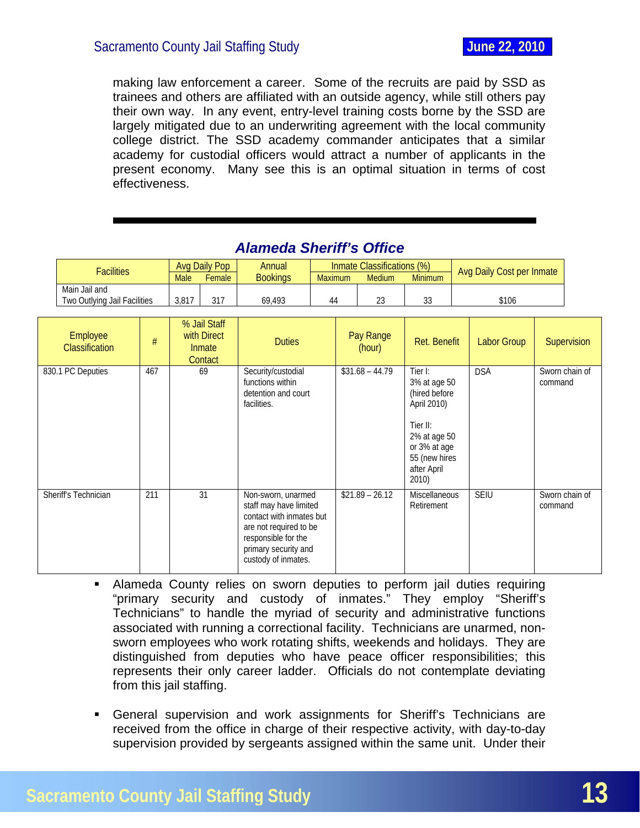<span id="page-13-0"></span>making law enforcement a career. Some of the recruits are paid by SSD as trainees and others are affiliated with an outside agency, while still others pay their own way. In any event, entry-level training costs borne by the SSD are largely mitigated due to an underwriting agreement with the local community college district. The SSD academy commander anticipates that a similar academy for custodial officers would attract a number of applicants in the present economy. Many see this is an optimal situation in terms of cost effectiveness.

| Facilities                   |             | Ava Daily Pop | Annual          |         | Inmate Classifications (%) |              | <b>Avg Daily Cost per Inmate</b> |
|------------------------------|-------------|---------------|-----------------|---------|----------------------------|--------------|----------------------------------|
|                              | <b>Male</b> | Female        | <b>Bookings</b> | Maximum | <b>Medium</b>              | Minimum      |                                  |
| Main Jail and                |             |               |                 |         |                            |              |                                  |
| Two Outlying Jail Facilities | 3.817       |               | 69.493          | 44      | $\sim$                     | $\sim$<br>ںں | \$106                            |

# *Alameda Sheriff's Office*

| Employee<br>Classification | #   | % Jail Staff<br>with Direct<br>Inmate<br>Contact | <b>Duties</b>                                                                                                                                                            | Pay Range<br>(hour) | Ret. Benefit                                                                                                                                 | <b>Labor Group</b> | Supervision               |
|----------------------------|-----|--------------------------------------------------|--------------------------------------------------------------------------------------------------------------------------------------------------------------------------|---------------------|----------------------------------------------------------------------------------------------------------------------------------------------|--------------------|---------------------------|
| 830.1 PC Deputies          | 467 | 69                                               | Security/custodial<br>functions within<br>detention and court<br>facilities.                                                                                             | $$31.68 - 44.79$    | Tier I:<br>3% at age 50<br>(hired before<br>April 2010)<br>Tier II:<br>2% at age 50<br>or 3% at age<br>55 (new hires<br>after April<br>2010) | <b>DSA</b>         | Sworn chain of<br>command |
| Sheriff's Technician       | 211 | 31                                               | Non-sworn, unarmed<br>staff may have limited<br>contact with inmates but<br>are not required to be<br>responsible for the<br>primary security and<br>custody of inmates. | $$21.89 - 26.12$    | <b>Miscellaneous</b><br>Retirement                                                                                                           | <b>SEIU</b>        | Sworn chain of<br>command |

- Alameda County relies on sworn deputies to perform jail duties requiring "primary security and custody of inmates." They employ "Sheriff's Technicians" to handle the myriad of security and administrative functions associated with running a correctional facility. Technicians are unarmed, nonsworn employees who work rotating shifts, weekends and holidays. They are distinguished from deputies who have peace officer responsibilities; this represents their only career ladder. Officials do not contemplate deviating from this jail staffing.
- General supervision and work assignments for Sheriff's Technicians are received from the office in charge of their respective activity, with day-to-day supervision provided by sergeants assigned within the same unit. Under their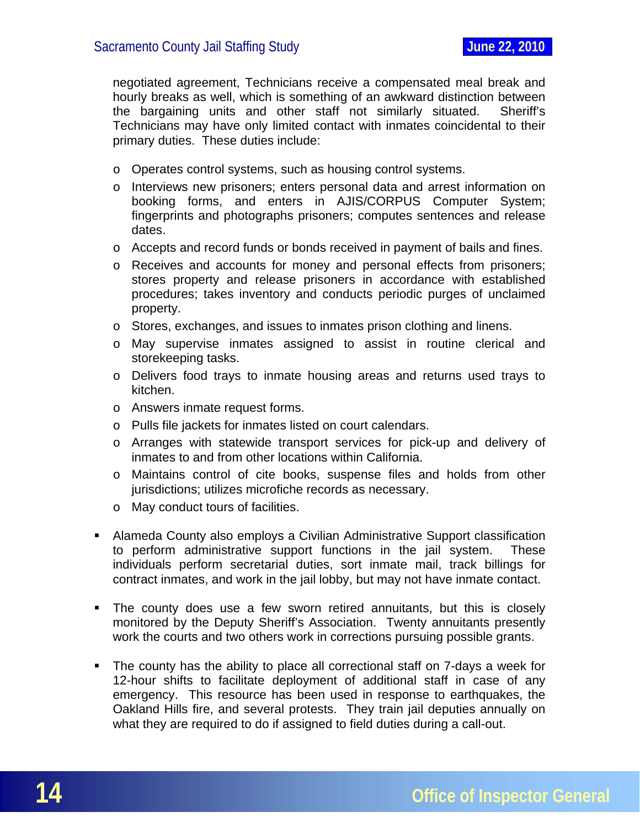negotiated agreement, Technicians receive a compensated meal break and hourly breaks as well, which is something of an awkward distinction between the bargaining units and other staff not similarly situated. Sheriff's Technicians may have only limited contact with inmates coincidental to their primary duties. These duties include:

- o Operates control systems, such as housing control systems.
- o Interviews new prisoners; enters personal data and arrest information on booking forms, and enters in AJIS/CORPUS Computer System; fingerprints and photographs prisoners; computes sentences and release dates.
- o Accepts and record funds or bonds received in payment of bails and fines.
- o Receives and accounts for money and personal effects from prisoners; stores property and release prisoners in accordance with established procedures; takes inventory and conducts periodic purges of unclaimed property.
- o Stores, exchanges, and issues to inmates prison clothing and linens.
- o May supervise inmates assigned to assist in routine clerical and storekeeping tasks.
- o Delivers food trays to inmate housing areas and returns used trays to kitchen.
- o Answers inmate request forms.
- o Pulls file jackets for inmates listed on court calendars.
- o Arranges with statewide transport services for pick-up and delivery of inmates to and from other locations within California.
- o Maintains control of cite books, suspense files and holds from other jurisdictions; utilizes microfiche records as necessary.
- o May conduct tours of facilities.
- Alameda County also employs a Civilian Administrative Support classification to perform administrative support functions in the jail system. These individuals perform secretarial duties, sort inmate mail, track billings for contract inmates, and work in the jail lobby, but may not have inmate contact.
- The county does use a few sworn retired annuitants, but this is closely monitored by the Deputy Sheriff's Association. Twenty annuitants presently work the courts and two others work in corrections pursuing possible grants.
- The county has the ability to place all correctional staff on 7-days a week for 12-hour shifts to facilitate deployment of additional staff in case of any emergency. This resource has been used in response to earthquakes, the Oakland Hills fire, and several protests. They train jail deputies annually on what they are required to do if assigned to field duties during a call-out.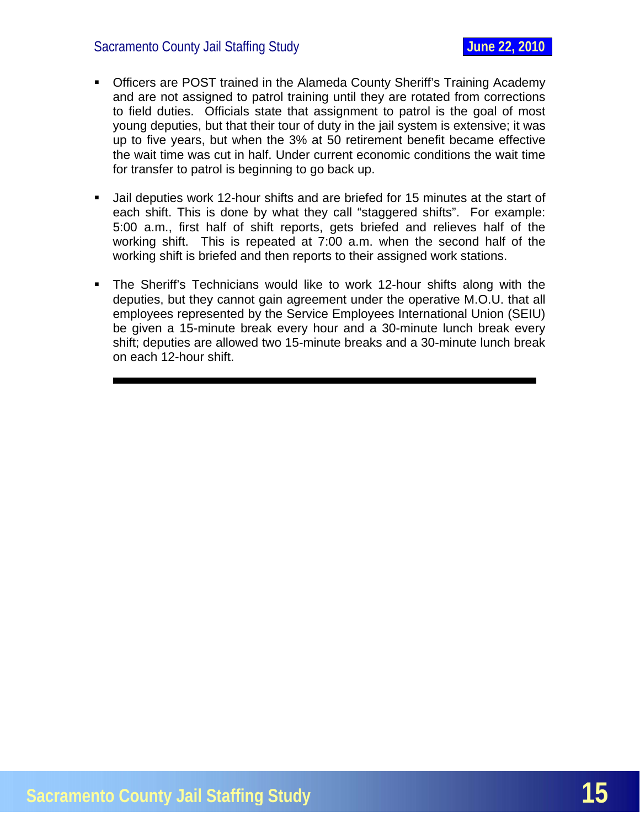- Officers are POST trained in the Alameda County Sheriff's Training Academy and are not assigned to patrol training until they are rotated from corrections to field duties. Officials state that assignment to patrol is the goal of most young deputies, but that their tour of duty in the jail system is extensive; it was up to five years, but when the 3% at 50 retirement benefit became effective the wait time was cut in half. Under current economic conditions the wait time for transfer to patrol is beginning to go back up.
- Jail deputies work 12-hour shifts and are briefed for 15 minutes at the start of each shift. This is done by what they call "staggered shifts". For example: 5:00 a.m., first half of shift reports, gets briefed and relieves half of the working shift. This is repeated at 7:00 a.m. when the second half of the working shift is briefed and then reports to their assigned work stations.
- The Sheriff's Technicians would like to work 12-hour shifts along with the deputies, but they cannot gain agreement under the operative M.O.U. that all employees represented by the Service Employees International Union (SEIU) be given a 15-minute break every hour and a 30-minute lunch break every shift; deputies are allowed two 15-minute breaks and a 30-minute lunch break on each 12-hour shift.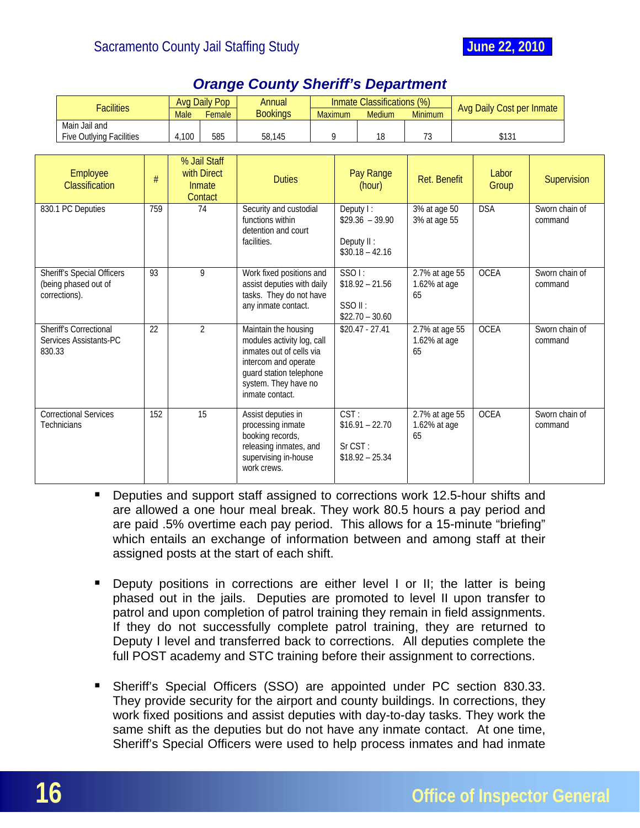<span id="page-16-0"></span>

|        | <b>Facilities</b>                                                          |     | <b>Male</b> | <b>Avg Daily Pop</b><br>Female                   | <b>Annual</b><br><b>Bookings</b>                                                                                                                                             | <b>Maximum</b>                                                                    |                                                                 | Inmate Classifications (%)<br><b>Medium</b>             | <b>Minimum</b>                       | Avg Daily Cost per Inmate |                           |             |
|--------|----------------------------------------------------------------------------|-----|-------------|--------------------------------------------------|------------------------------------------------------------------------------------------------------------------------------------------------------------------------------|-----------------------------------------------------------------------------------|-----------------------------------------------------------------|---------------------------------------------------------|--------------------------------------|---------------------------|---------------------------|-------------|
|        | Main Jail and<br><b>Five Outlying Facilities</b>                           |     | 4,100       | 585                                              | 58,145                                                                                                                                                                       |                                                                                   | 9                                                               | 18                                                      | 73                                   | \$131                     |                           |             |
|        | Employee<br>#<br><b>Classification</b>                                     |     |             | % Jail Staff<br>with Direct<br>Inmate<br>Contact | <b>Duties</b>                                                                                                                                                                |                                                                                   |                                                                 | Pay Range<br>(hour)                                     | <b>Ret. Benefit</b>                  | Labor<br>Group            |                           | Supervision |
|        | 830.1 PC Deputies                                                          | 759 |             | 74                                               | Security and custodial<br>functions within<br>detention and court<br>facilities.                                                                                             |                                                                                   | Deputy I:<br>$$29.36 - 39.90$<br>Deputy II:<br>$$30.18 - 42.16$ |                                                         | 3% at age 50<br>3% at age 55         | <b>DSA</b>                | Sworn chain of<br>command |             |
|        | <b>Sheriff's Special Officers</b><br>(being phased out of<br>corrections). | 93  |             | 9                                                | any inmate contact.                                                                                                                                                          | Work fixed positions and<br>assist deputies with daily<br>tasks. They do not have |                                                                 | SSO1:<br>$$18.92 - 21.56$<br>SSOII:<br>$$22.70 - 30.60$ | 2.7% at age 55<br>1.62% at age<br>65 | <b>OCEA</b>               | Sworn chain of<br>command |             |
| 830.33 | Sheriff's Correctional<br>Services Assistants-PC                           | 22  |             | $\overline{2}$                                   | Maintain the housing<br>modules activity log, call<br>inmates out of cells via<br>intercom and operate<br>guard station telephone<br>system. They have no<br>inmate contact. |                                                                                   | $$20.47 - 27.41$                                                |                                                         | 2.7% at age 55<br>1.62% at age<br>65 | <b>OCEA</b>               | Sworn chain of<br>command |             |
|        | <b>Correctional Services</b><br>Technicians                                | 152 |             | 15                                               | Assist deputies in<br>processing inmate<br>booking records,<br>releasing inmates, and<br>supervising in-house<br>work crews.                                                 |                                                                                   | CST:<br>Sr CST:                                                 | $$16.91 - 22.70$<br>$$18.92 - 25.34$                    | 2.7% at age 55<br>1.62% at age<br>65 | <b>OCEA</b>               | Sworn chain of<br>command |             |

# *Orange County Sheriff's Department*

- **Deputies and support staff assigned to corrections work 12.5-hour shifts and** are allowed a one hour meal break. They work 80.5 hours a pay period and are paid .5% overtime each pay period. This allows for a 15-minute "briefing" which entails an exchange of information between and among staff at their assigned posts at the start of each shift.
- **Deputy positions in corrections are either level I or II; the latter is being** phased out in the jails. Deputies are promoted to level II upon transfer to patrol and upon completion of patrol training they remain in field assignments. If they do not successfully complete patrol training, they are returned to Deputy I level and transferred back to corrections. All deputies complete the full POST academy and STC training before their assignment to corrections.
- Sheriff's Special Officers (SSO) are appointed under PC section 830.33. They provide security for the airport and county buildings. In corrections, they work fixed positions and assist deputies with day-to-day tasks. They work the same shift as the deputies but do not have any inmate contact. At one time, Sheriff's Special Officers were used to help process inmates and had inmate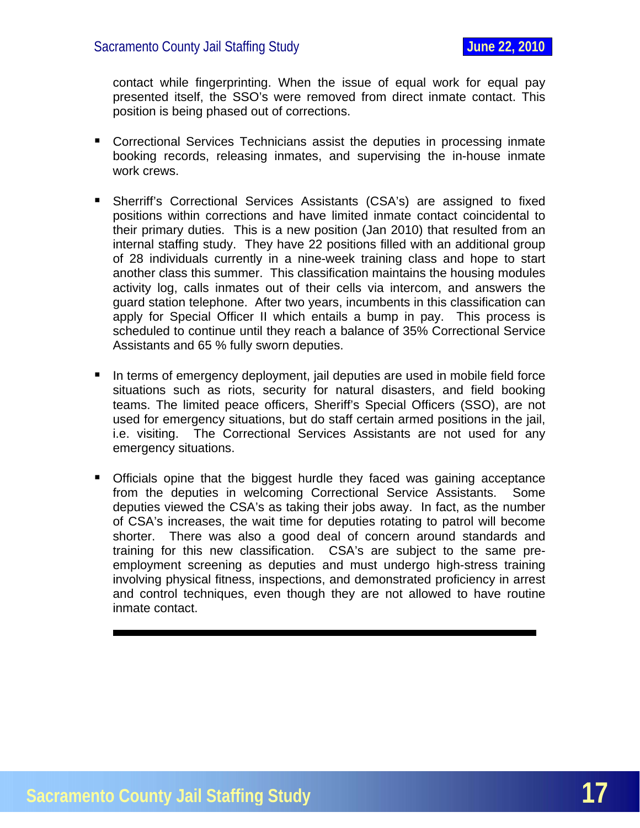contact while fingerprinting. When the issue of equal work for equal pay presented itself, the SSO's were removed from direct inmate contact. This position is being phased out of corrections.

- Correctional Services Technicians assist the deputies in processing inmate booking records, releasing inmates, and supervising the in-house inmate work crews.
- Sherriff's Correctional Services Assistants (CSA's) are assigned to fixed positions within corrections and have limited inmate contact coincidental to their primary duties. This is a new position (Jan 2010) that resulted from an internal staffing study. They have 22 positions filled with an additional group of 28 individuals currently in a nine-week training class and hope to start another class this summer. This classification maintains the housing modules activity log, calls inmates out of their cells via intercom, and answers the guard station telephone. After two years, incumbents in this classification can apply for Special Officer II which entails a bump in pay. This process is scheduled to continue until they reach a balance of 35% Correctional Service Assistants and 65 % fully sworn deputies.
- In terms of emergency deployment, jail deputies are used in mobile field force situations such as riots, security for natural disasters, and field booking teams. The limited peace officers, Sheriff's Special Officers (SSO), are not used for emergency situations, but do staff certain armed positions in the jail, i.e. visiting. The Correctional Services Assistants are not used for any emergency situations.
- **Officials opine that the biggest hurdle they faced was gaining acceptance** from the deputies in welcoming Correctional Service Assistants. Some deputies viewed the CSA's as taking their jobs away. In fact, as the number of CSA's increases, the wait time for deputies rotating to patrol will become shorter. There was also a good deal of concern around standards and training for this new classification. CSA's are subject to the same preemployment screening as deputies and must undergo high-stress training involving physical fitness, inspections, and demonstrated proficiency in arrest and control techniques, even though they are not allowed to have routine inmate contact.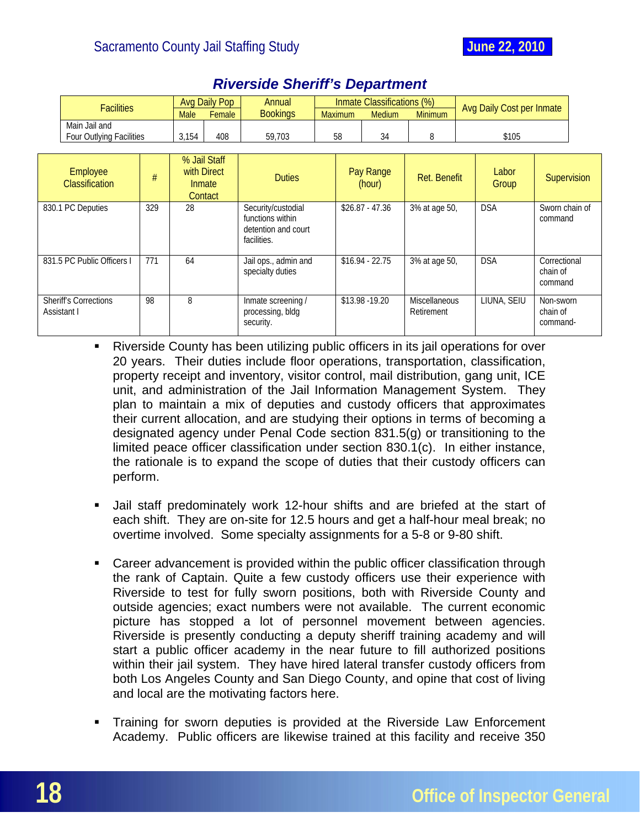

<span id="page-18-0"></span>

| <b>Facilities</b>                                           |     | <b>Avg Daily Pop</b> |                                                     | Annual                                                                       |  |                 | Inmate Classifications (%)         |                | <b>Avg Daily Cost per Inmate</b> |                                   |                                     |  |
|-------------------------------------------------------------|-----|----------------------|-----------------------------------------------------|------------------------------------------------------------------------------|--|-----------------|------------------------------------|----------------|----------------------------------|-----------------------------------|-------------------------------------|--|
|                                                             |     | <b>Male</b>          | Female                                              | <b>Bookings</b>                                                              |  | <b>Maximum</b>  | <b>Medium</b>                      | <b>Minimum</b> |                                  |                                   |                                     |  |
| Main Jail and<br>Four Outlying Facilities                   |     | 3,154                | 408                                                 | 59,703                                                                       |  | 58              | 34                                 | 8              | \$105                            |                                   |                                     |  |
| Employee<br>#<br><b>Classification</b><br>830.1 PC Deputies |     |                      | % Jail Staff<br>with Direct<br>Inmate<br>Contact    | <b>Duties</b>                                                                |  |                 | Pay Range<br>(hour)                | Ret. Benefit   |                                  | Labor<br>Group                    | Supervision                         |  |
|                                                             | 329 | 28                   |                                                     | Security/custodial<br>functions within<br>detention and court<br>facilities. |  |                 | $$26.87 - 47.36$                   | 3% at age 50,  |                                  | <b>DSA</b>                        | Sworn chain of<br>command           |  |
| 831.5 PC Public Officers I                                  | 771 | 64                   |                                                     | Jail ops., admin and<br>specialty duties                                     |  |                 | $$16.94 - 22.75$                   | 3% at age 50,  |                                  | <b>DSA</b>                        | Correctional<br>chain of<br>command |  |
| 98<br>8<br><b>Sheriff's Corrections</b><br>Assistant I      |     |                      | Inmate screening /<br>processing, bldg<br>security. |                                                                              |  | \$13.98 - 19.20 | <b>Miscellaneous</b><br>Retirement |                | LIUNA, SEIU                      | Non-sworn<br>chain of<br>command- |                                     |  |

# *Riverside Sheriff's Department*

- Riverside County has been utilizing public officers in its jail operations for over 20 years. Their duties include floor operations, transportation, classification, property receipt and inventory, visitor control, mail distribution, gang unit, ICE unit, and administration of the Jail Information Management System. They plan to maintain a mix of deputies and custody officers that approximates their current allocation, and are studying their options in terms of becoming a designated agency under Penal Code section 831.5(g) or transitioning to the limited peace officer classification under section 830.1(c). In either instance, the rationale is to expand the scope of duties that their custody officers can perform.
- Jail staff predominately work 12-hour shifts and are briefed at the start of each shift. They are on-site for 12.5 hours and get a half-hour meal break; no overtime involved. Some specialty assignments for a 5-8 or 9-80 shift.
- Career advancement is provided within the public officer classification through the rank of Captain. Quite a few custody officers use their experience with Riverside to test for fully sworn positions, both with Riverside County and outside agencies; exact numbers were not available. The current economic picture has stopped a lot of personnel movement between agencies. Riverside is presently conducting a deputy sheriff training academy and will start a public officer academy in the near future to fill authorized positions within their jail system. They have hired lateral transfer custody officers from both Los Angeles County and San Diego County, and opine that cost of living and local are the motivating factors here.
- Training for sworn deputies is provided at the Riverside Law Enforcement Academy. Public officers are likewise trained at this facility and receive 350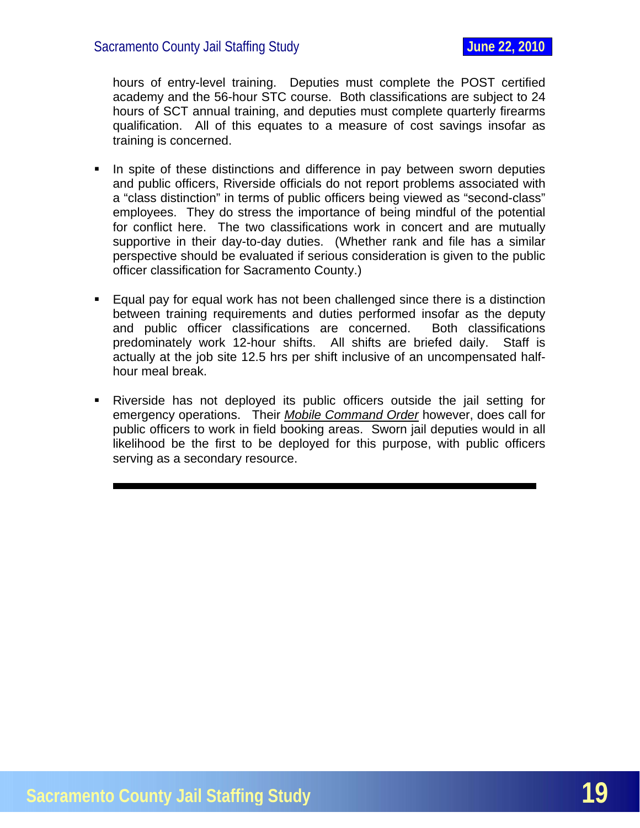hours of entry-level training. Deputies must complete the POST certified academy and the 56-hour STC course. Both classifications are subject to 24 hours of SCT annual training, and deputies must complete quarterly firearms qualification. All of this equates to a measure of cost savings insofar as training is concerned.

- In spite of these distinctions and difference in pay between sworn deputies and public officers, Riverside officials do not report problems associated with a "class distinction" in terms of public officers being viewed as "second-class" employees. They do stress the importance of being mindful of the potential for conflict here. The two classifications work in concert and are mutually supportive in their day-to-day duties. (Whether rank and file has a similar perspective should be evaluated if serious consideration is given to the public officer classification for Sacramento County.)
- Equal pay for equal work has not been challenged since there is a distinction between training requirements and duties performed insofar as the deputy and public officer classifications are concerned. Both classifications predominately work 12-hour shifts. All shifts are briefed daily. Staff is actually at the job site 12.5 hrs per shift inclusive of an uncompensated halfhour meal break.
- Riverside has not deployed its public officers outside the jail setting for emergency operations. Their *Mobile Command Order* however, does call for public officers to work in field booking areas. Sworn jail deputies would in all likelihood be the first to be deployed for this purpose, with public officers serving as a secondary resource.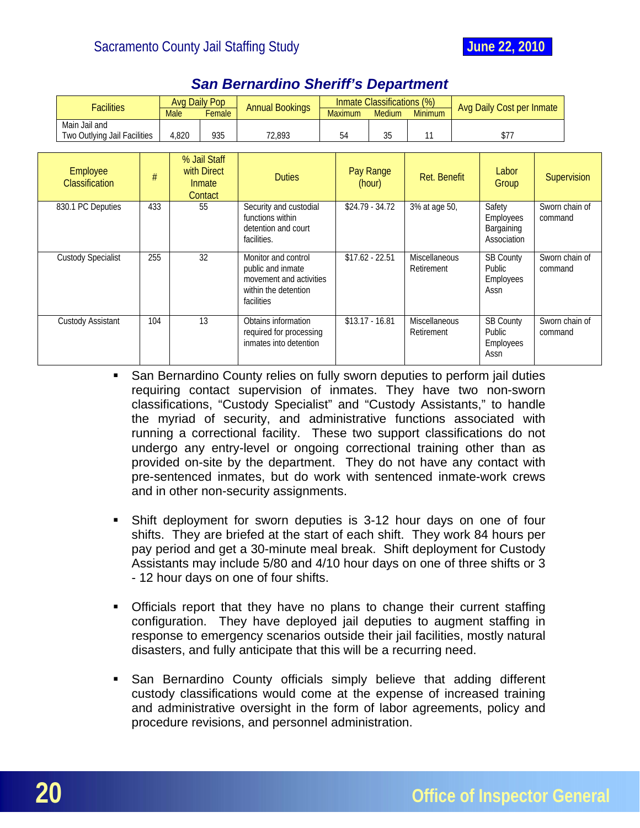<span id="page-20-0"></span>

|                                                                                     | <b>Facilities</b> |        | <b>Avg Daily Pop</b> | <b>Annual Bookings</b>                                                                                    | Inmate Classifications (%) |                     |                  |                                    | Avg Daily Cost per Inmate                        |             |                |
|-------------------------------------------------------------------------------------|-------------------|--------|----------------------|-----------------------------------------------------------------------------------------------------------|----------------------------|---------------------|------------------|------------------------------------|--------------------------------------------------|-------------|----------------|
| <b>Male</b>                                                                         |                   | Female |                      |                                                                                                           | <b>Maximum</b>             | <b>Medium</b>       | <b>Minimum</b>   |                                    |                                                  |             |                |
| Main Jail and<br>Two Outlying Jail Facilities<br>4,820                              |                   | 935    | 72,893               |                                                                                                           | 54                         | 35                  | 11               | \$77                               |                                                  |             |                |
| % Jail Staff<br>Employee<br>with Direct<br>#<br>Classification<br>Inmate<br>Contact |                   |        | <b>Duties</b>        |                                                                                                           |                            | Pay Range<br>(hour) | Ret. Benefit     | Labor<br>Group                     |                                                  | Supervision |                |
| 830.1 PC Deputies                                                                   | 433               |        | 55                   | Security and custodial<br>functions within<br>detention and court<br>facilities.                          |                            |                     | $$24.79 - 34.72$ | 3% at age 50,                      | Safety<br>Employees<br>Bargaining<br>Association | command     | Sworn chain of |
| <b>Custody Specialist</b>                                                           | 255               |        | 32                   | Monitor and control<br>public and inmate<br>movement and activities<br>within the detention<br>facilities |                            |                     | $$17.62 - 22.51$ | <b>Miscellaneous</b><br>Retirement | <b>SB County</b><br>Public<br>Employees<br>Assn  | command     | Sworn chain of |
| <b>Custody Assistant</b>                                                            | 104               |        | 13                   | Obtains information<br>required for processing<br>inmates into detention                                  |                            |                     | $$13.17 - 16.81$ | Miscellaneous<br>Retirement        | <b>SB County</b><br>Public<br>Employees<br>Assn  | command     | Sworn chain of |

# *San Bernardino Sheriff's Department*

- San Bernardino County relies on fully sworn deputies to perform jail duties requiring contact supervision of inmates. They have two non-sworn classifications, "Custody Specialist" and "Custody Assistants," to handle the myriad of security, and administrative functions associated with running a correctional facility. These two support classifications do not undergo any entry-level or ongoing correctional training other than as provided on-site by the department. They do not have any contact with pre-sentenced inmates, but do work with sentenced inmate-work crews and in other non-security assignments.
- Shift deployment for sworn deputies is 3-12 hour days on one of four shifts. They are briefed at the start of each shift. They work 84 hours per pay period and get a 30-minute meal break. Shift deployment for Custody Assistants may include 5/80 and 4/10 hour days on one of three shifts or 3 - 12 hour days on one of four shifts.
- Officials report that they have no plans to change their current staffing configuration. They have deployed jail deputies to augment staffing in response to emergency scenarios outside their jail facilities, mostly natural disasters, and fully anticipate that this will be a recurring need.
- San Bernardino County officials simply believe that adding different custody classifications would come at the expense of increased training and administrative oversight in the form of labor agreements, policy and procedure revisions, and personnel administration.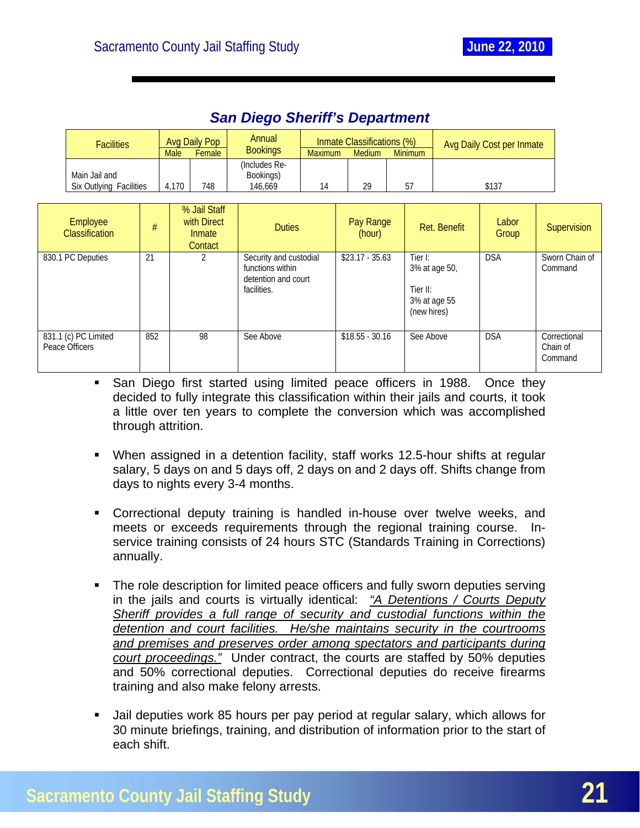<span id="page-21-0"></span>

|                | <b>Facilities</b>                        |     |                      | <b>Avg Daily Pop</b>                             | Annual<br><b>Bookings</b>                                                        |                      | Inmate Classifications (%)<br>Medium |                     |                                                                     |              | Avg Daily Cost per Inmate |                                     |  |
|----------------|------------------------------------------|-----|----------------------|--------------------------------------------------|----------------------------------------------------------------------------------|----------------------|--------------------------------------|---------------------|---------------------------------------------------------------------|--------------|---------------------------|-------------------------------------|--|
|                | Main Jail and<br>Six Outlying Facilities |     | <b>Male</b><br>4,170 | Female<br>748                                    | (Includes Re-<br>Bookings)<br>146,669                                            | <b>Maximum</b><br>14 |                                      | 29                  | <b>Minimum</b><br>57                                                |              | \$137                     |                                     |  |
|                | Employee<br><b>Classification</b>        | #   |                      | % Jail Staff<br>with Direct<br>Inmate<br>Contact | <b>Duties</b>                                                                    |                      |                                      | Pay Range<br>(hour) |                                                                     | Ret. Benefit | Labor<br>Group            | Supervision                         |  |
|                | 830.1 PC Deputies                        | 21  |                      | 2                                                | Security and custodial<br>functions within<br>detention and court<br>facilities. |                      |                                      | $$23.17 - 35.63$    | Tier I:<br>3% at age 50,<br>Tier II:<br>3% at age 55<br>(new hires) |              | <b>DSA</b>                | Sworn Chain of<br>Command           |  |
| Peace Officers | 831.1 (c) PC Limited                     | 852 |                      | 98                                               | See Above                                                                        |                      |                                      | $$18.55 - 30.16$    | See Above                                                           |              | <b>DSA</b>                | Correctional<br>Chain of<br>Command |  |

## *San Diego Sheriff's Department*

- **San Diego first started using limited peace officers in 1988. Once they** decided to fully integrate this classification within their jails and courts, it took a little over ten years to complete the conversion which was accomplished through attrition.
- When assigned in a detention facility, staff works 12.5-hour shifts at regular salary, 5 days on and 5 days off, 2 days on and 2 days off. Shifts change from days to nights every 3-4 months.
- Correctional deputy training is handled in-house over twelve weeks, and meets or exceeds requirements through the regional training course. Inservice training consists of 24 hours STC (Standards Training in Corrections) annually.
- The role description for limited peace officers and fully sworn deputies serving in the jails and courts is virtually identical: *"A Detentions / Courts Deputy Sheriff provides a full range of security and custodial functions within the detention and court facilities. He/she maintains security in the courtrooms and premises and preserves order among spectators and participants during court proceedings."* Under contract, the courts are staffed by 50% deputies and 50% correctional deputies. Correctional deputies do receive firearms training and also make felony arrests.
- Jail deputies work 85 hours per pay period at regular salary, which allows for 30 minute briefings, training, and distribution of information prior to the start of each shift.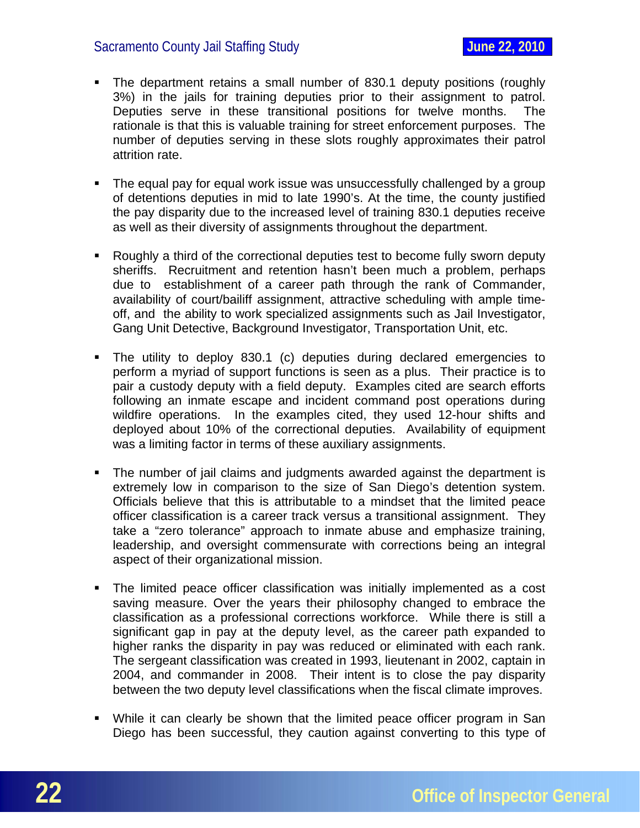- The department retains a small number of 830.1 deputy positions (roughly 3%) in the jails for training deputies prior to their assignment to patrol. Deputies serve in these transitional positions for twelve months. The rationale is that this is valuable training for street enforcement purposes. The number of deputies serving in these slots roughly approximates their patrol attrition rate.
- The equal pay for equal work issue was unsuccessfully challenged by a group of detentions deputies in mid to late 1990's. At the time, the county justified the pay disparity due to the increased level of training 830.1 deputies receive as well as their diversity of assignments throughout the department.
- Roughly a third of the correctional deputies test to become fully sworn deputy sheriffs. Recruitment and retention hasn't been much a problem, perhaps due to establishment of a career path through the rank of Commander, availability of court/bailiff assignment, attractive scheduling with ample timeoff, and the ability to work specialized assignments such as Jail Investigator, Gang Unit Detective, Background Investigator, Transportation Unit, etc.
- The utility to deploy 830.1 (c) deputies during declared emergencies to perform a myriad of support functions is seen as a plus. Their practice is to pair a custody deputy with a field deputy. Examples cited are search efforts following an inmate escape and incident command post operations during wildfire operations. In the examples cited, they used 12-hour shifts and deployed about 10% of the correctional deputies. Availability of equipment was a limiting factor in terms of these auxiliary assignments.
- The number of jail claims and judgments awarded against the department is extremely low in comparison to the size of San Diego's detention system. Officials believe that this is attributable to a mindset that the limited peace officer classification is a career track versus a transitional assignment. They take a "zero tolerance" approach to inmate abuse and emphasize training, leadership, and oversight commensurate with corrections being an integral aspect of their organizational mission.
- The limited peace officer classification was initially implemented as a cost saving measure. Over the years their philosophy changed to embrace the classification as a professional corrections workforce. While there is still a significant gap in pay at the deputy level, as the career path expanded to higher ranks the disparity in pay was reduced or eliminated with each rank. The sergeant classification was created in 1993, lieutenant in 2002, captain in 2004, and commander in 2008. Their intent is to close the pay disparity between the two deputy level classifications when the fiscal climate improves.
- While it can clearly be shown that the limited peace officer program in San Diego has been successful, they caution against converting to this type of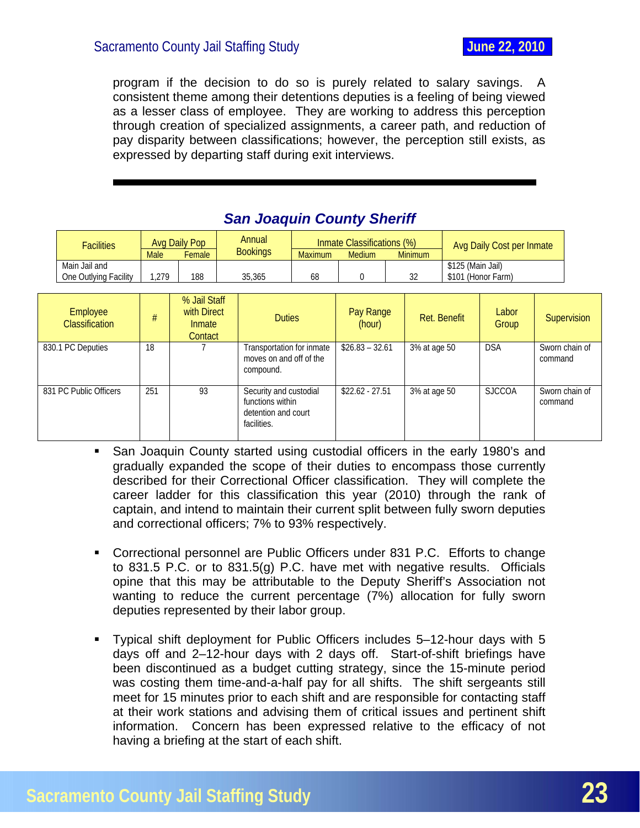<span id="page-23-0"></span>program if the decision to do so is purely related to salary savings. A consistent theme among their detentions deputies is a feeling of being viewed as a lesser class of employee. They are working to address this perception through creation of specialized assignments, a career path, and reduction of pay disparity between classifications; however, the perception still exists, as expressed by departing staff during exit interviews.

| <b>Facilities</b>                      | Avg Daily Pop<br><b>Male</b><br>Female |                                                  | Annual<br><b>Bookings</b> |                                                                                  | <b>Maximum</b> | Inmate Classifications (%)<br><b>Medium</b> |  | <b>Minimum</b> |                   | Avg Daily Cost per Inmate |         |                |
|----------------------------------------|----------------------------------------|--------------------------------------------------|---------------------------|----------------------------------------------------------------------------------|----------------|---------------------------------------------|--|----------------|-------------------|---------------------------|---------|----------------|
| Main Jail and<br>One Outlying Facility | 1,279                                  | 188                                              | 35,365                    |                                                                                  | 68             | $\mathbf 0$                                 |  | 32             | \$125 (Main Jail) | \$101 (Honor Farm)        |         |                |
| Employee<br><b>Classification</b>      | #                                      | % Jail Staff<br>with Direct<br>Inmate<br>Contact |                           | <b>Duties</b>                                                                    |                | Pay Range<br>(hour)                         |  |                | Ret. Benefit      | Labor<br>Group            |         | Supervision    |
| 830.1 PC Deputies                      | 18                                     |                                                  |                           | Transportation for inmate<br>moves on and off of the<br>compound.                |                | $$26.83 - 32.61$                            |  | 3% at age 50   |                   | <b>DSA</b>                | command | Sworn chain of |
| 831 PC Public Officers                 | 251                                    | 93                                               |                           | Security and custodial<br>functions within<br>detention and court<br>facilities. |                | $$22.62 - 27.51$                            |  | 3% at age 50   |                   | <b>SJCCOA</b>             | command | Sworn chain of |

# *San Joaquin County Sheriff*

- San Joaquin County started using custodial officers in the early 1980's and gradually expanded the scope of their duties to encompass those currently described for their Correctional Officer classification. They will complete the career ladder for this classification this year (2010) through the rank of captain, and intend to maintain their current split between fully sworn deputies and correctional officers; 7% to 93% respectively.
- Correctional personnel are Public Officers under 831 P.C. Efforts to change to 831.5 P.C. or to 831.5(g) P.C. have met with negative results. Officials opine that this may be attributable to the Deputy Sheriff's Association not wanting to reduce the current percentage (7%) allocation for fully sworn deputies represented by their labor group.
- Typical shift deployment for Public Officers includes 5–12-hour days with 5 days off and 2–12-hour days with 2 days off. Start-of-shift briefings have been discontinued as a budget cutting strategy, since the 15-minute period was costing them time-and-a-half pay for all shifts. The shift sergeants still meet for 15 minutes prior to each shift and are responsible for contacting staff at their work stations and advising them of critical issues and pertinent shift information. Concern has been expressed relative to the efficacy of not having a briefing at the start of each shift.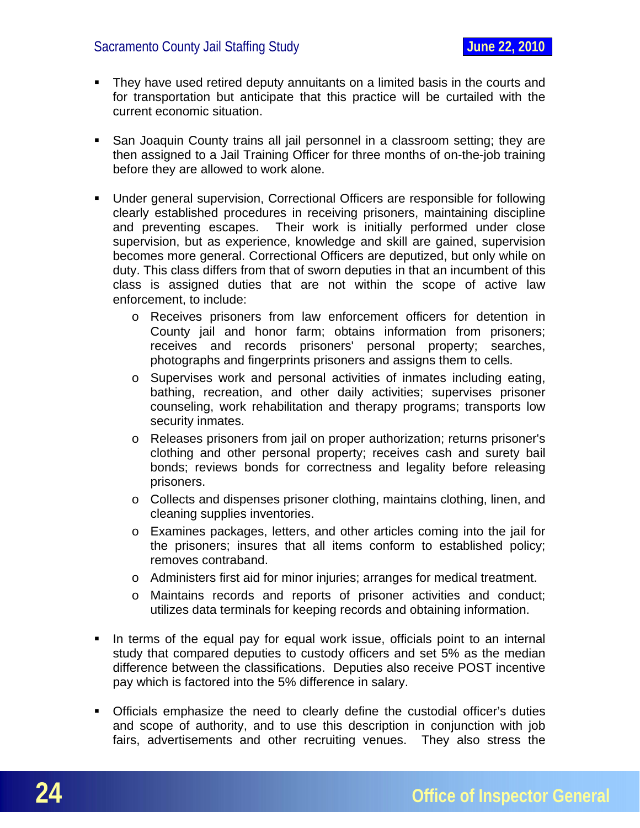- **They have used retired deputy annuitants on a limited basis in the courts and** for transportation but anticipate that this practice will be curtailed with the current economic situation.
- San Joaquin County trains all jail personnel in a classroom setting; they are then assigned to a Jail Training Officer for three months of on-the-job training before they are allowed to work alone.
- Under general supervision, Correctional Officers are responsible for following clearly established procedures in receiving prisoners, maintaining discipline and preventing escapes. Their work is initially performed under close supervision, but as experience, knowledge and skill are gained, supervision becomes more general. Correctional Officers are deputized, but only while on duty. This class differs from that of sworn deputies in that an incumbent of this class is assigned duties that are not within the scope of active law enforcement, to include:
	- o Receives prisoners from law enforcement officers for detention in County jail and honor farm; obtains information from prisoners; receives and records prisoners' personal property; searches, photographs and fingerprints prisoners and assigns them to cells.
	- o Supervises work and personal activities of inmates including eating, bathing, recreation, and other daily activities; supervises prisoner counseling, work rehabilitation and therapy programs; transports low security inmates.
	- o Releases prisoners from jail on proper authorization; returns prisoner's clothing and other personal property; receives cash and surety bail bonds; reviews bonds for correctness and legality before releasing prisoners.
	- o Collects and dispenses prisoner clothing, maintains clothing, linen, and cleaning supplies inventories.
	- o Examines packages, letters, and other articles coming into the jail for the prisoners; insures that all items conform to established policy; removes contraband.
	- o Administers first aid for minor injuries; arranges for medical treatment.
	- o Maintains records and reports of prisoner activities and conduct; utilizes data terminals for keeping records and obtaining information.
- In terms of the equal pay for equal work issue, officials point to an internal study that compared deputies to custody officers and set 5% as the median difference between the classifications. Deputies also receive POST incentive pay which is factored into the 5% difference in salary.
- Officials emphasize the need to clearly define the custodial officer's duties and scope of authority, and to use this description in conjunction with job fairs, advertisements and other recruiting venues. They also stress the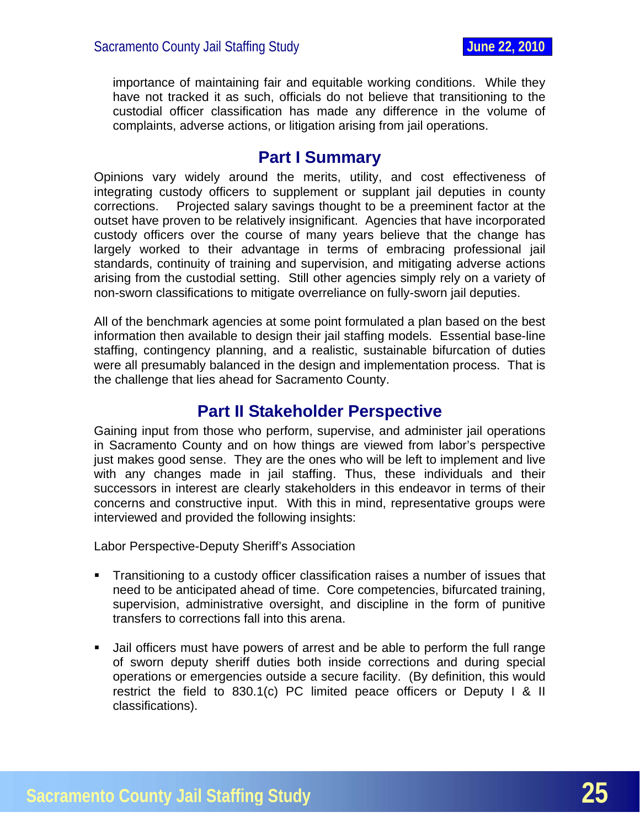<span id="page-25-0"></span>importance of maintaining fair and equitable working conditions. While they have not tracked it as such, officials do not believe that transitioning to the custodial officer classification has made any difference in the volume of complaints, adverse actions, or litigation arising from jail operations.

# **Part I Summary**

Opinions vary widely around the merits, utility, and cost effectiveness of integrating custody officers to supplement or supplant jail deputies in county corrections. Projected salary savings thought to be a preeminent factor at the outset have proven to be relatively insignificant. Agencies that have incorporated custody officers over the course of many years believe that the change has largely worked to their advantage in terms of embracing professional jail standards, continuity of training and supervision, and mitigating adverse actions arising from the custodial setting. Still other agencies simply rely on a variety of non-sworn classifications to mitigate overreliance on fully-sworn jail deputies.

All of the benchmark agencies at some point formulated a plan based on the best information then available to design their jail staffing models. Essential base-line staffing, contingency planning, and a realistic, sustainable bifurcation of duties were all presumably balanced in the design and implementation process. That is the challenge that lies ahead for Sacramento County.

# **Part II Stakeholder Perspective**

Gaining input from those who perform, supervise, and administer jail operations in Sacramento County and on how things are viewed from labor's perspective just makes good sense. They are the ones who will be left to implement and live with any changes made in jail staffing. Thus, these individuals and their successors in interest are clearly stakeholders in this endeavor in terms of their concerns and constructive input. With this in mind, representative groups were interviewed and provided the following insights:

Labor Perspective-Deputy Sheriff's Association

- Transitioning to a custody officer classification raises a number of issues that need to be anticipated ahead of time. Core competencies, bifurcated training, supervision, administrative oversight, and discipline in the form of punitive transfers to corrections fall into this arena.
- Jail officers must have powers of arrest and be able to perform the full range of sworn deputy sheriff duties both inside corrections and during special operations or emergencies outside a secure facility. (By definition, this would restrict the field to 830.1(c) PC limited peace officers or Deputy I & II classifications).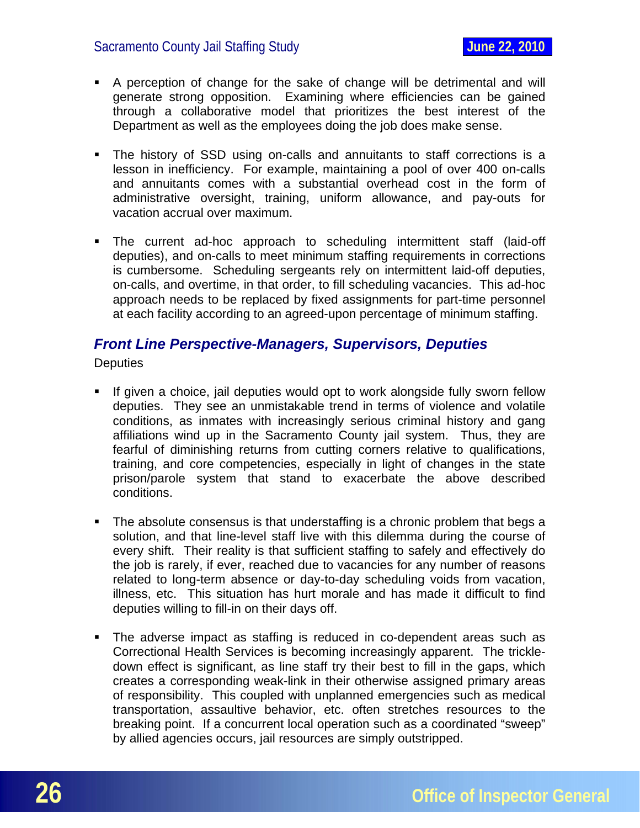- <span id="page-26-0"></span> A perception of change for the sake of change will be detrimental and will generate strong opposition. Examining where efficiencies can be gained through a collaborative model that prioritizes the best interest of the Department as well as the employees doing the job does make sense.
- The history of SSD using on-calls and annuitants to staff corrections is a lesson in inefficiency. For example, maintaining a pool of over 400 on-calls and annuitants comes with a substantial overhead cost in the form of administrative oversight, training, uniform allowance, and pay-outs for vacation accrual over maximum.
- The current ad-hoc approach to scheduling intermittent staff (laid-off deputies), and on-calls to meet minimum staffing requirements in corrections is cumbersome. Scheduling sergeants rely on intermittent laid-off deputies, on-calls, and overtime, in that order, to fill scheduling vacancies. This ad-hoc approach needs to be replaced by fixed assignments for part-time personnel at each facility according to an agreed-upon percentage of minimum staffing.

#### *Front Line Perspective-Managers, Supervisors, Deputies*

**Deputies** 

- If given a choice, jail deputies would opt to work alongside fully sworn fellow deputies. They see an unmistakable trend in terms of violence and volatile conditions, as inmates with increasingly serious criminal history and gang affiliations wind up in the Sacramento County jail system. Thus, they are fearful of diminishing returns from cutting corners relative to qualifications, training, and core competencies, especially in light of changes in the state prison/parole system that stand to exacerbate the above described conditions.
- The absolute consensus is that understaffing is a chronic problem that begs a solution, and that line-level staff live with this dilemma during the course of every shift. Their reality is that sufficient staffing to safely and effectively do the job is rarely, if ever, reached due to vacancies for any number of reasons related to long-term absence or day-to-day scheduling voids from vacation, illness, etc. This situation has hurt morale and has made it difficult to find deputies willing to fill-in on their days off.
- The adverse impact as staffing is reduced in co-dependent areas such as Correctional Health Services is becoming increasingly apparent. The trickledown effect is significant, as line staff try their best to fill in the gaps, which creates a corresponding weak-link in their otherwise assigned primary areas of responsibility. This coupled with unplanned emergencies such as medical transportation, assaultive behavior, etc. often stretches resources to the breaking point. If a concurrent local operation such as a coordinated "sweep" by allied agencies occurs, jail resources are simply outstripped.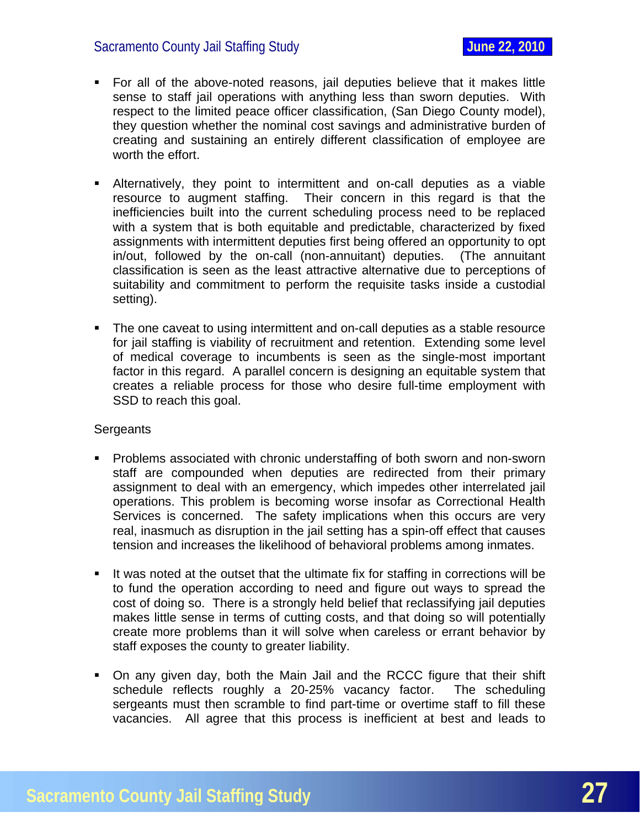- For all of the above-noted reasons, jail deputies believe that it makes little sense to staff jail operations with anything less than sworn deputies. With respect to the limited peace officer classification, (San Diego County model), they question whether the nominal cost savings and administrative burden of creating and sustaining an entirely different classification of employee are worth the effort.
- Alternatively, they point to intermittent and on-call deputies as a viable resource to augment staffing. Their concern in this regard is that the inefficiencies built into the current scheduling process need to be replaced with a system that is both equitable and predictable, characterized by fixed assignments with intermittent deputies first being offered an opportunity to opt in/out, followed by the on-call (non-annuitant) deputies. (The annuitant classification is seen as the least attractive alternative due to perceptions of suitability and commitment to perform the requisite tasks inside a custodial setting).
- The one caveat to using intermittent and on-call deputies as a stable resource for jail staffing is viability of recruitment and retention. Extending some level of medical coverage to incumbents is seen as the single-most important factor in this regard. A parallel concern is designing an equitable system that creates a reliable process for those who desire full-time employment with SSD to reach this goal.

#### **Sergeants**

- **Problems associated with chronic understaffing of both sworn and non-sworn** staff are compounded when deputies are redirected from their primary assignment to deal with an emergency, which impedes other interrelated jail operations. This problem is becoming worse insofar as Correctional Health Services is concerned. The safety implications when this occurs are very real, inasmuch as disruption in the jail setting has a spin-off effect that causes tension and increases the likelihood of behavioral problems among inmates.
- It was noted at the outset that the ultimate fix for staffing in corrections will be to fund the operation according to need and figure out ways to spread the cost of doing so. There is a strongly held belief that reclassifying jail deputies makes little sense in terms of cutting costs, and that doing so will potentially create more problems than it will solve when careless or errant behavior by staff exposes the county to greater liability.
- On any given day, both the Main Jail and the RCCC figure that their shift schedule reflects roughly a 20-25% vacancy factor. The scheduling sergeants must then scramble to find part-time or overtime staff to fill these vacancies. All agree that this process is inefficient at best and leads to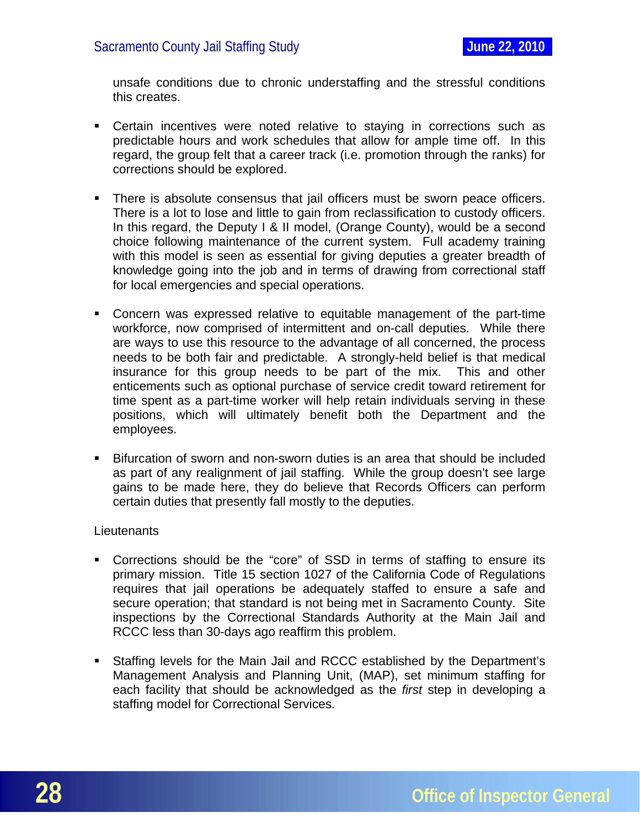unsafe conditions due to chronic understaffing and the stressful conditions this creates.

- Certain incentives were noted relative to staying in corrections such as predictable hours and work schedules that allow for ample time off. In this regard, the group felt that a career track (i.e. promotion through the ranks) for corrections should be explored.
- There is absolute consensus that jail officers must be sworn peace officers. There is a lot to lose and little to gain from reclassification to custody officers. In this regard, the Deputy I & II model, (Orange County), would be a second choice following maintenance of the current system. Full academy training with this model is seen as essential for giving deputies a greater breadth of knowledge going into the job and in terms of drawing from correctional staff for local emergencies and special operations.
- Concern was expressed relative to equitable management of the part-time workforce, now comprised of intermittent and on-call deputies. While there are ways to use this resource to the advantage of all concerned, the process needs to be both fair and predictable. A strongly-held belief is that medical insurance for this group needs to be part of the mix. This and other enticements such as optional purchase of service credit toward retirement for time spent as a part-time worker will help retain individuals serving in these positions, which will ultimately benefit both the Department and the employees.
- Bifurcation of sworn and non-sworn duties is an area that should be included as part of any realignment of jail staffing. While the group doesn't see large gains to be made here, they do believe that Records Officers can perform certain duties that presently fall mostly to the deputies.

#### **Lieutenants**

- Corrections should be the "core" of SSD in terms of staffing to ensure its primary mission. Title 15 section 1027 of the California Code of Regulations requires that jail operations be adequately staffed to ensure a safe and secure operation; that standard is not being met in Sacramento County. Site inspections by the Correctional Standards Authority at the Main Jail and RCCC less than 30-days ago reaffirm this problem.
- Staffing levels for the Main Jail and RCCC established by the Department's Management Analysis and Planning Unit, (MAP), set minimum staffing for each facility that should be acknowledged as the *first* step in developing a staffing model for Correctional Services.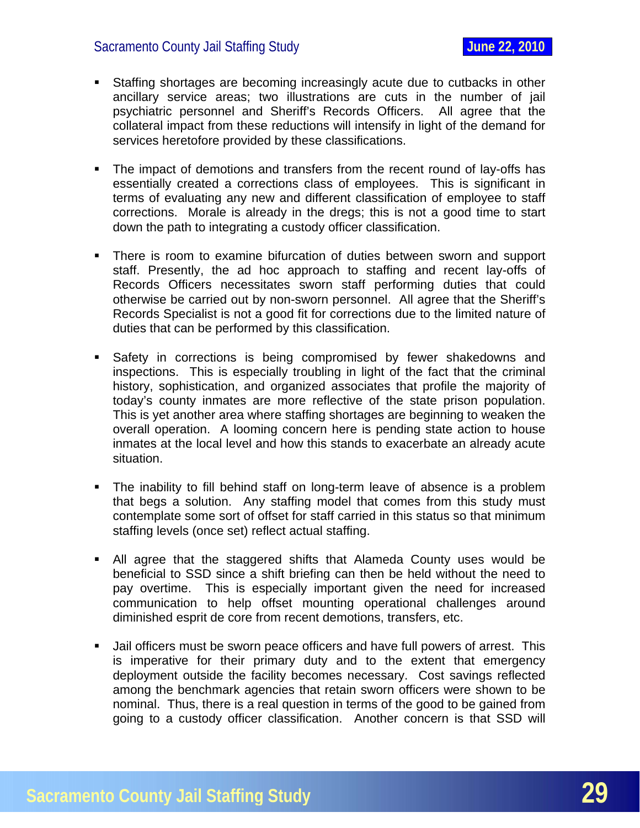- Staffing shortages are becoming increasingly acute due to cutbacks in other ancillary service areas; two illustrations are cuts in the number of jail psychiatric personnel and Sheriff's Records Officers. All agree that the collateral impact from these reductions will intensify in light of the demand for services heretofore provided by these classifications.
- The impact of demotions and transfers from the recent round of lay-offs has essentially created a corrections class of employees. This is significant in terms of evaluating any new and different classification of employee to staff corrections. Morale is already in the dregs; this is not a good time to start down the path to integrating a custody officer classification.
- There is room to examine bifurcation of duties between sworn and support staff. Presently, the ad hoc approach to staffing and recent lay-offs of Records Officers necessitates sworn staff performing duties that could otherwise be carried out by non-sworn personnel. All agree that the Sheriff's Records Specialist is not a good fit for corrections due to the limited nature of duties that can be performed by this classification.
- Safety in corrections is being compromised by fewer shakedowns and inspections. This is especially troubling in light of the fact that the criminal history, sophistication, and organized associates that profile the majority of today's county inmates are more reflective of the state prison population. This is yet another area where staffing shortages are beginning to weaken the overall operation. A looming concern here is pending state action to house inmates at the local level and how this stands to exacerbate an already acute situation.
- The inability to fill behind staff on long-term leave of absence is a problem that begs a solution. Any staffing model that comes from this study must contemplate some sort of offset for staff carried in this status so that minimum staffing levels (once set) reflect actual staffing.
- All agree that the staggered shifts that Alameda County uses would be beneficial to SSD since a shift briefing can then be held without the need to pay overtime. This is especially important given the need for increased communication to help offset mounting operational challenges around diminished esprit de core from recent demotions, transfers, etc.
- Jail officers must be sworn peace officers and have full powers of arrest. This is imperative for their primary duty and to the extent that emergency deployment outside the facility becomes necessary. Cost savings reflected among the benchmark agencies that retain sworn officers were shown to be nominal. Thus, there is a real question in terms of the good to be gained from going to a custody officer classification. Another concern is that SSD will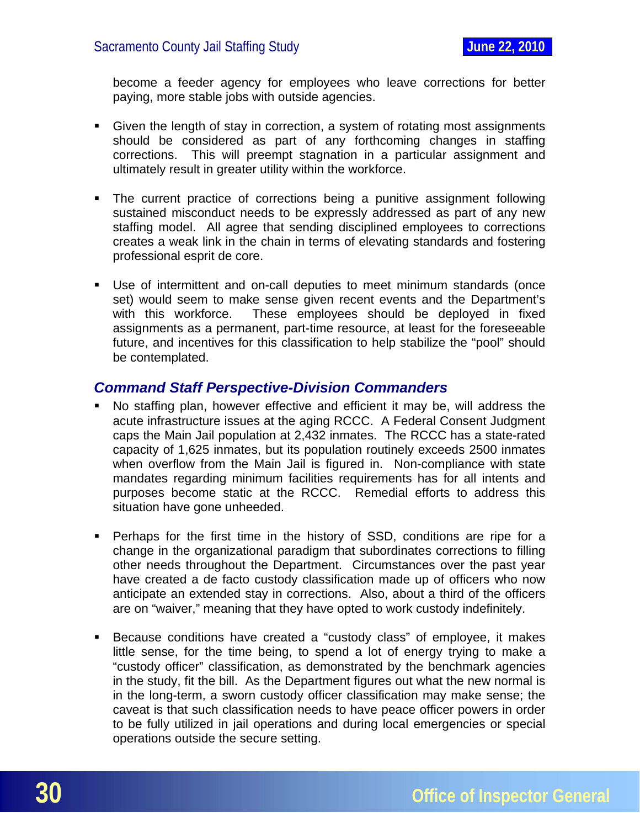<span id="page-30-0"></span>become a feeder agency for employees who leave corrections for better paying, more stable jobs with outside agencies.

- Given the length of stay in correction, a system of rotating most assignments should be considered as part of any forthcoming changes in staffing corrections. This will preempt stagnation in a particular assignment and ultimately result in greater utility within the workforce.
- The current practice of corrections being a punitive assignment following sustained misconduct needs to be expressly addressed as part of any new staffing model. All agree that sending disciplined employees to corrections creates a weak link in the chain in terms of elevating standards and fostering professional esprit de core.
- Use of intermittent and on-call deputies to meet minimum standards (once set) would seem to make sense given recent events and the Department's with this workforce. These employees should be deployed in fixed assignments as a permanent, part-time resource, at least for the foreseeable future, and incentives for this classification to help stabilize the "pool" should be contemplated.

#### *Command Staff Perspective-Division Commanders*

- No staffing plan, however effective and efficient it may be, will address the acute infrastructure issues at the aging RCCC. A Federal Consent Judgment caps the Main Jail population at 2,432 inmates. The RCCC has a state-rated capacity of 1,625 inmates, but its population routinely exceeds 2500 inmates when overflow from the Main Jail is figured in. Non-compliance with state mandates regarding minimum facilities requirements has for all intents and purposes become static at the RCCC. Remedial efforts to address this situation have gone unheeded.
- Perhaps for the first time in the history of SSD, conditions are ripe for a change in the organizational paradigm that subordinates corrections to filling other needs throughout the Department. Circumstances over the past year have created a de facto custody classification made up of officers who now anticipate an extended stay in corrections. Also, about a third of the officers are on "waiver," meaning that they have opted to work custody indefinitely.
- Because conditions have created a "custody class" of employee, it makes little sense, for the time being, to spend a lot of energy trying to make a "custody officer" classification, as demonstrated by the benchmark agencies in the study, fit the bill. As the Department figures out what the new normal is in the long-term, a sworn custody officer classification may make sense; the caveat is that such classification needs to have peace officer powers in order to be fully utilized in jail operations and during local emergencies or special operations outside the secure setting.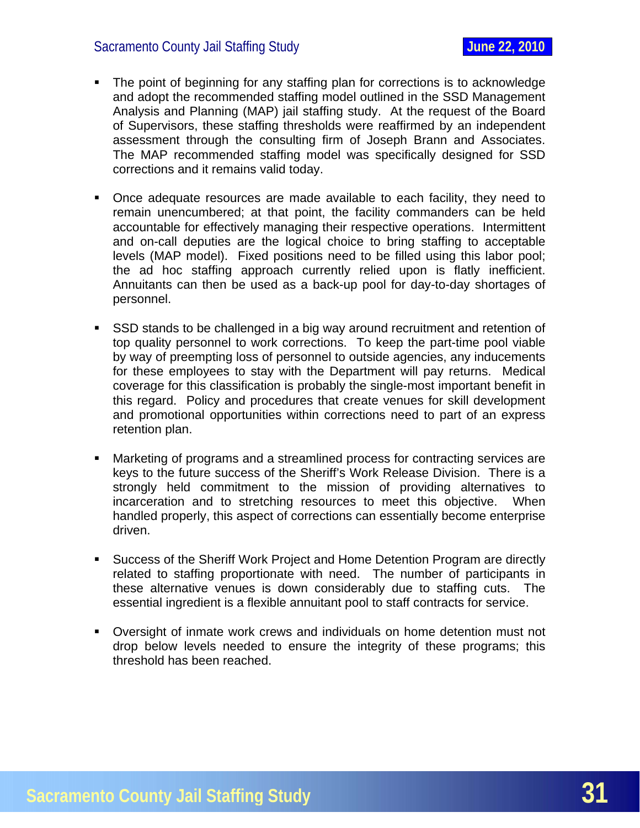- The point of beginning for any staffing plan for corrections is to acknowledge and adopt the recommended staffing model outlined in the SSD Management Analysis and Planning (MAP) jail staffing study. At the request of the Board of Supervisors, these staffing thresholds were reaffirmed by an independent assessment through the consulting firm of Joseph Brann and Associates. The MAP recommended staffing model was specifically designed for SSD corrections and it remains valid today.
- Once adequate resources are made available to each facility, they need to remain unencumbered; at that point, the facility commanders can be held accountable for effectively managing their respective operations. Intermittent and on-call deputies are the logical choice to bring staffing to acceptable levels (MAP model). Fixed positions need to be filled using this labor pool; the ad hoc staffing approach currently relied upon is flatly inefficient. Annuitants can then be used as a back-up pool for day-to-day shortages of personnel.
- SSD stands to be challenged in a big way around recruitment and retention of top quality personnel to work corrections. To keep the part-time pool viable by way of preempting loss of personnel to outside agencies, any inducements for these employees to stay with the Department will pay returns. Medical coverage for this classification is probably the single-most important benefit in this regard. Policy and procedures that create venues for skill development and promotional opportunities within corrections need to part of an express retention plan.
- Marketing of programs and a streamlined process for contracting services are keys to the future success of the Sheriff's Work Release Division. There is a strongly held commitment to the mission of providing alternatives to incarceration and to stretching resources to meet this objective. When handled properly, this aspect of corrections can essentially become enterprise driven.
- Success of the Sheriff Work Project and Home Detention Program are directly related to staffing proportionate with need. The number of participants in these alternative venues is down considerably due to staffing cuts. The essential ingredient is a flexible annuitant pool to staff contracts for service.
- Oversight of inmate work crews and individuals on home detention must not drop below levels needed to ensure the integrity of these programs; this threshold has been reached.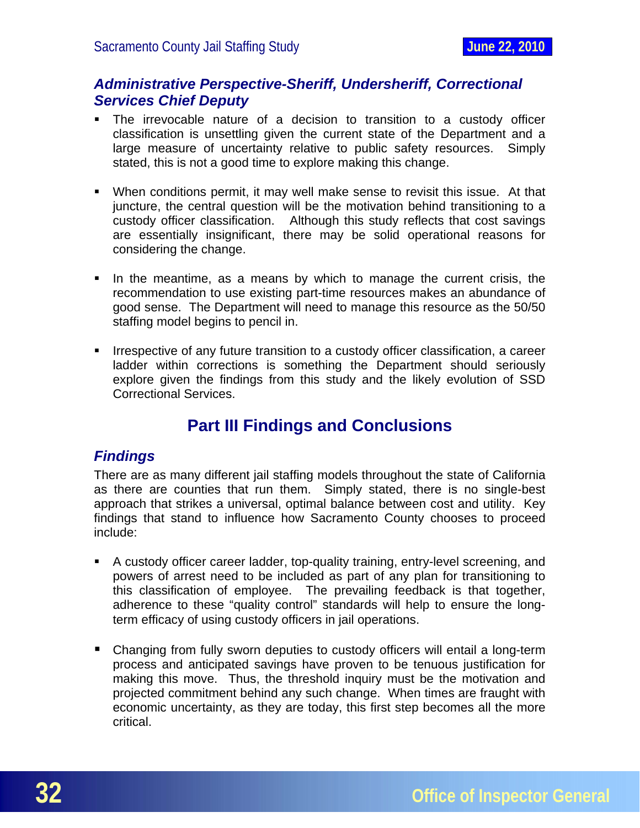#### <span id="page-32-0"></span>*Administrative Perspective-Sheriff, Undersheriff, Correctional Services Chief Deputy*

- The irrevocable nature of a decision to transition to a custody officer classification is unsettling given the current state of the Department and a large measure of uncertainty relative to public safety resources. Simply stated, this is not a good time to explore making this change.
- When conditions permit, it may well make sense to revisit this issue. At that juncture, the central question will be the motivation behind transitioning to a custody officer classification. Although this study reflects that cost savings are essentially insignificant, there may be solid operational reasons for considering the change.
- In the meantime, as a means by which to manage the current crisis, the recommendation to use existing part-time resources makes an abundance of good sense. The Department will need to manage this resource as the 50/50 staffing model begins to pencil in.
- **IFFELD** Irrespective of any future transition to a custody officer classification, a career ladder within corrections is something the Department should seriously explore given the findings from this study and the likely evolution of SSD Correctional Services.

# **Part III Findings and Conclusions**

#### *Findings*

There are as many different jail staffing models throughout the state of California as there are counties that run them. Simply stated, there is no single-best approach that strikes a universal, optimal balance between cost and utility. Key findings that stand to influence how Sacramento County chooses to proceed include:

- A custody officer career ladder, top-quality training, entry-level screening, and powers of arrest need to be included as part of any plan for transitioning to this classification of employee. The prevailing feedback is that together, adherence to these "quality control" standards will help to ensure the longterm efficacy of using custody officers in jail operations.
- Changing from fully sworn deputies to custody officers will entail a long-term process and anticipated savings have proven to be tenuous justification for making this move. Thus, the threshold inquiry must be the motivation and projected commitment behind any such change. When times are fraught with economic uncertainty, as they are today, this first step becomes all the more critical.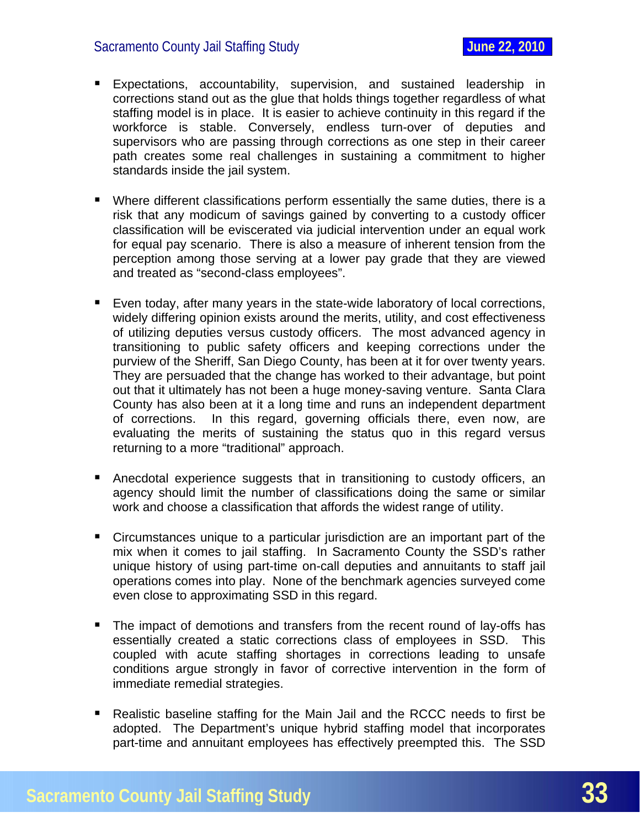- **Expectations, accountability, supervision, and sustained leadership in** corrections stand out as the glue that holds things together regardless of what staffing model is in place. It is easier to achieve continuity in this regard if the workforce is stable. Conversely, endless turn-over of deputies and supervisors who are passing through corrections as one step in their career path creates some real challenges in sustaining a commitment to higher standards inside the jail system.
- Where different classifications perform essentially the same duties, there is a risk that any modicum of savings gained by converting to a custody officer classification will be eviscerated via judicial intervention under an equal work for equal pay scenario. There is also a measure of inherent tension from the perception among those serving at a lower pay grade that they are viewed and treated as "second-class employees".
- Even today, after many years in the state-wide laboratory of local corrections, widely differing opinion exists around the merits, utility, and cost effectiveness of utilizing deputies versus custody officers. The most advanced agency in transitioning to public safety officers and keeping corrections under the purview of the Sheriff, San Diego County, has been at it for over twenty years. They are persuaded that the change has worked to their advantage, but point out that it ultimately has not been a huge money-saving venture. Santa Clara County has also been at it a long time and runs an independent department of corrections. In this regard, governing officials there, even now, are evaluating the merits of sustaining the status quo in this regard versus returning to a more "traditional" approach.
- Anecdotal experience suggests that in transitioning to custody officers, an agency should limit the number of classifications doing the same or similar work and choose a classification that affords the widest range of utility.
- Circumstances unique to a particular jurisdiction are an important part of the mix when it comes to jail staffing. In Sacramento County the SSD's rather unique history of using part-time on-call deputies and annuitants to staff jail operations comes into play. None of the benchmark agencies surveyed come even close to approximating SSD in this regard.
- The impact of demotions and transfers from the recent round of lay-offs has essentially created a static corrections class of employees in SSD. This coupled with acute staffing shortages in corrections leading to unsafe conditions argue strongly in favor of corrective intervention in the form of immediate remedial strategies.
- Realistic baseline staffing for the Main Jail and the RCCC needs to first be adopted. The Department's unique hybrid staffing model that incorporates part-time and annuitant employees has effectively preempted this. The SSD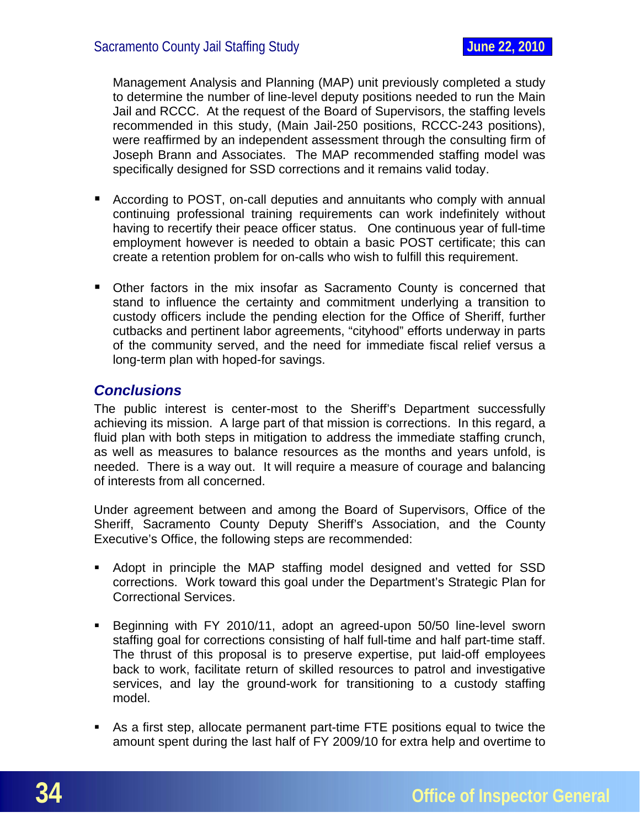<span id="page-34-0"></span>Management Analysis and Planning (MAP) unit previously completed a study to determine the number of line-level deputy positions needed to run the Main Jail and RCCC. At the request of the Board of Supervisors, the staffing levels recommended in this study, (Main Jail-250 positions, RCCC-243 positions), were reaffirmed by an independent assessment through the consulting firm of Joseph Brann and Associates. The MAP recommended staffing model was specifically designed for SSD corrections and it remains valid today.

- According to POST, on-call deputies and annuitants who comply with annual continuing professional training requirements can work indefinitely without having to recertify their peace officer status. One continuous year of full-time employment however is needed to obtain a basic POST certificate; this can create a retention problem for on-calls who wish to fulfill this requirement.
- **Diamage 1** Other factors in the mix insofar as Sacramento County is concerned that stand to influence the certainty and commitment underlying a transition to custody officers include the pending election for the Office of Sheriff, further cutbacks and pertinent labor agreements, "cityhood" efforts underway in parts of the community served, and the need for immediate fiscal relief versus a long-term plan with hoped-for savings.

#### *Conclusions*

The public interest is center-most to the Sheriff's Department successfully achieving its mission. A large part of that mission is corrections. In this regard, a fluid plan with both steps in mitigation to address the immediate staffing crunch, as well as measures to balance resources as the months and years unfold, is needed. There is a way out. It will require a measure of courage and balancing of interests from all concerned.

Under agreement between and among the Board of Supervisors, Office of the Sheriff, Sacramento County Deputy Sheriff's Association, and the County Executive's Office, the following steps are recommended:

- Adopt in principle the MAP staffing model designed and vetted for SSD corrections. Work toward this goal under the Department's Strategic Plan for Correctional Services.
- Beginning with FY 2010/11, adopt an agreed-upon 50/50 line-level sworn staffing goal for corrections consisting of half full-time and half part-time staff. The thrust of this proposal is to preserve expertise, put laid-off employees back to work, facilitate return of skilled resources to patrol and investigative services, and lay the ground-work for transitioning to a custody staffing model.
- As a first step, allocate permanent part-time FTE positions equal to twice the amount spent during the last half of FY 2009/10 for extra help and overtime to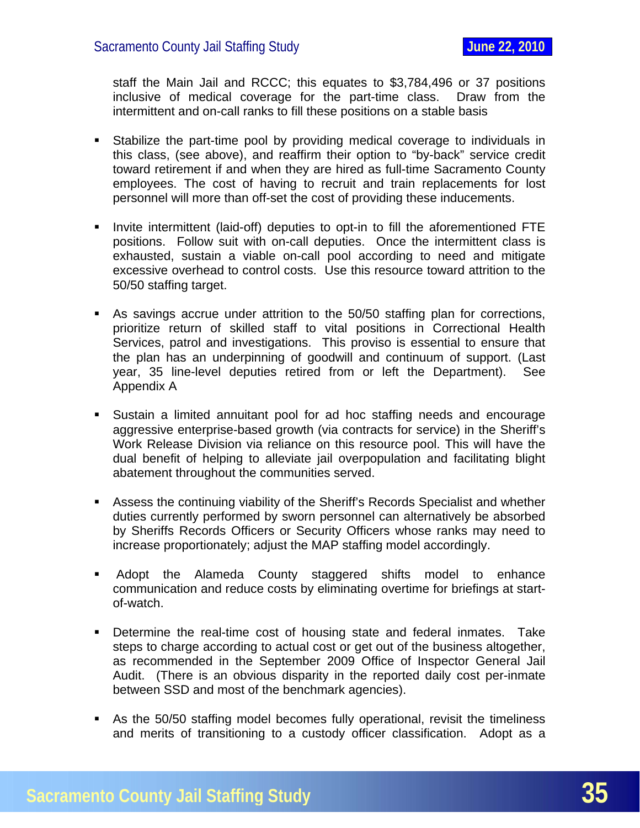staff the Main Jail and RCCC; this equates to \$3,784,496 or 37 positions inclusive of medical coverage for the part-time class. Draw from the intermittent and on-call ranks to fill these positions on a stable basis

- Stabilize the part-time pool by providing medical coverage to individuals in this class, (see above), and reaffirm their option to "by-back" service credit toward retirement if and when they are hired as full-time Sacramento County employees. The cost of having to recruit and train replacements for lost personnel will more than off-set the cost of providing these inducements.
- **Invite intermittent (laid-off) deputies to opt-in to fill the aforementioned FTE** positions. Follow suit with on-call deputies. Once the intermittent class is exhausted, sustain a viable on-call pool according to need and mitigate excessive overhead to control costs. Use this resource toward attrition to the 50/50 staffing target.
- As savings accrue under attrition to the 50/50 staffing plan for corrections, prioritize return of skilled staff to vital positions in Correctional Health Services, patrol and investigations. This proviso is essential to ensure that the plan has an underpinning of goodwill and continuum of support. (Last year, 35 line-level deputies retired from or left the Department). See Appendix A
- Sustain a limited annuitant pool for ad hoc staffing needs and encourage aggressive enterprise-based growth (via contracts for service) in the Sheriff's Work Release Division via reliance on this resource pool. This will have the dual benefit of helping to alleviate jail overpopulation and facilitating blight abatement throughout the communities served.
- Assess the continuing viability of the Sheriff's Records Specialist and whether duties currently performed by sworn personnel can alternatively be absorbed by Sheriffs Records Officers or Security Officers whose ranks may need to increase proportionately; adjust the MAP staffing model accordingly.
- Adopt the Alameda County staggered shifts model to enhance communication and reduce costs by eliminating overtime for briefings at startof-watch.
- **Determine the real-time cost of housing state and federal inmates. Take** steps to charge according to actual cost or get out of the business altogether, as recommended in the September 2009 Office of Inspector General Jail Audit. (There is an obvious disparity in the reported daily cost per-inmate between SSD and most of the benchmark agencies).
- As the 50/50 staffing model becomes fully operational, revisit the timeliness and merits of transitioning to a custody officer classification. Adopt as a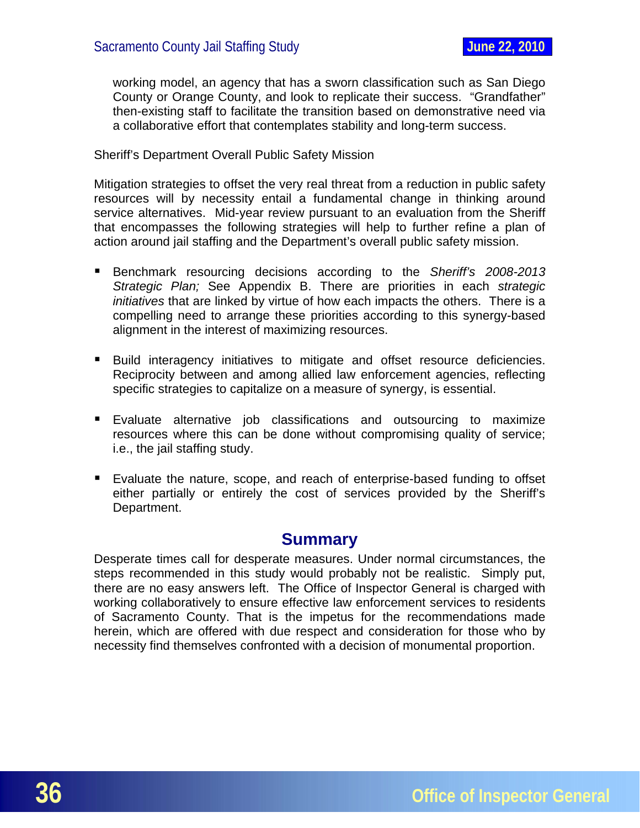<span id="page-36-0"></span>working model, an agency that has a sworn classification such as San Diego County or Orange County, and look to replicate their success. "Grandfather" then-existing staff to facilitate the transition based on demonstrative need via a collaborative effort that contemplates stability and long-term success.

Sheriff's Department Overall Public Safety Mission

Mitigation strategies to offset the very real threat from a reduction in public safety resources will by necessity entail a fundamental change in thinking around service alternatives. Mid-year review pursuant to an evaluation from the Sheriff that encompasses the following strategies will help to further refine a plan of action around jail staffing and the Department's overall public safety mission.

- Benchmark resourcing decisions according to the *Sheriff's 2008-2013 Strategic Plan;* See Appendix B. There are priorities in each *strategic initiatives* that are linked by virtue of how each impacts the others. There is a compelling need to arrange these priorities according to this synergy-based alignment in the interest of maximizing resources.
- Build interagency initiatives to mitigate and offset resource deficiencies. Reciprocity between and among allied law enforcement agencies, reflecting specific strategies to capitalize on a measure of synergy, is essential.
- **Evaluate alternative job classifications and outsourcing to maximize** resources where this can be done without compromising quality of service; i.e., the jail staffing study.
- Evaluate the nature, scope, and reach of enterprise-based funding to offset either partially or entirely the cost of services provided by the Sheriff's Department.

# **Summary**

Desperate times call for desperate measures. Under normal circumstances, the steps recommended in this study would probably not be realistic. Simply put, there are no easy answers left. The Office of Inspector General is charged with working collaboratively to ensure effective law enforcement services to residents of Sacramento County. That is the impetus for the recommendations made herein, which are offered with due respect and consideration for those who by necessity find themselves confronted with a decision of monumental proportion.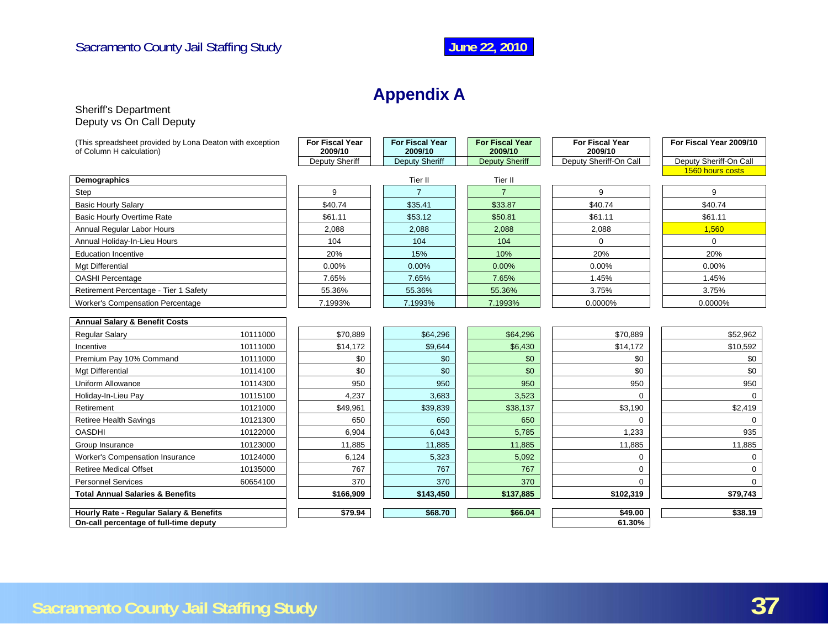# **Appendix A**

#### Sheriff's Department Deputy vs On Call Deputy

<span id="page-37-0"></span>

| (This spreadsheet provided by Lona Deaton with exception<br>of Column H calculation) | <b>For Fiscal Year</b><br>2009/10 | <b>For Fiscal Year</b><br>2009/10 | <b>For Fiscal Year</b><br>2009/10 | <b>For Fiscal Year</b><br>2009/10 | For Fiscal Year 2009/10 |
|--------------------------------------------------------------------------------------|-----------------------------------|-----------------------------------|-----------------------------------|-----------------------------------|-------------------------|
|                                                                                      | Deputy Sheriff                    | Deputy Sheriff                    | <b>Deputy Sheriff</b>             | Deputy Sheriff-On Call            | Deputy Sheriff-On Call  |
|                                                                                      |                                   |                                   |                                   |                                   | 1560 hours costs        |
| Demographics                                                                         |                                   | Tier II                           | Tier II                           |                                   |                         |
| Step                                                                                 | 9                                 | $\overline{7}$                    | $\overline{7}$                    | 9                                 | 9                       |
| <b>Basic Hourly Salary</b>                                                           | \$40.74                           | \$35.41                           | \$33.87                           | \$40.74                           | \$40.74                 |
| Basic Hourly Overtime Rate                                                           | \$61.11                           | \$53.12                           | \$50.81                           | \$61.11                           | \$61.11                 |
| Annual Regular Labor Hours                                                           | 2,088                             | 2,088                             | 2,088                             | 2,088                             | 1,560                   |
| Annual Holiday-In-Lieu Hours                                                         | 104                               | 104                               | 104                               | $\Omega$                          | $\mathbf 0$             |
| <b>Education Incentive</b>                                                           | 20%                               | 15%                               | 10%                               | 20%                               | 20%                     |
| Mgt Differential                                                                     | $0.00\%$                          | 0.00%                             | 0.00%                             | 0.00%                             | 0.00%                   |
| <b>OASHI Percentage</b>                                                              | 7.65%                             | 7.65%                             | 7.65%                             | 1.45%                             | 1.45%                   |
| Retirement Percentage - Tier 1 Safety                                                | 55.36%                            | 55.36%                            | 55.36%                            | 3.75%                             | 3.75%                   |
| <b>Worker's Compensation Percentage</b>                                              | 7.1993%                           | 7.1993%                           | 7.1993%                           | 0.0000%                           | 0.0000%                 |
| <b>Annual Salary &amp; Benefit Costs</b>                                             |                                   |                                   |                                   |                                   |                         |
| Regular Salary<br>10111000                                                           | \$70,889                          | \$64,296                          | \$64,296                          | \$70,889                          | \$52,962                |
| Incentive<br>10111000                                                                | \$14,172                          | \$9,644                           | \$6,430                           | \$14,172                          | \$10,592                |
| Premium Pay 10% Command<br>10111000                                                  | \$0                               | \$0                               | \$0                               | \$0                               | \$0                     |
| Mgt Differential<br>10114100                                                         | \$0                               | \$0                               | \$0                               | \$0                               | \$0                     |
| Uniform Allowance<br>10114300                                                        | 950                               | 950                               | 950                               | 950                               | 950                     |
| Holiday-In-Lieu Pay<br>10115100                                                      | 4,237                             | 3.683                             | 3,523                             | $\Omega$                          | $\Omega$                |
| 10121000<br>Retirement                                                               | \$49,961                          | \$39,839                          | \$38,137                          | \$3,190                           | \$2,419                 |
| 10121300<br><b>Retiree Health Savings</b>                                            | 650                               | 650                               | 650                               | $\Omega$                          | $\Omega$                |
| <b>OASDHI</b><br>10122000                                                            | 6.904                             | 6,043                             | 5,785                             | 1.233                             | 935                     |
| 10123000<br>Group Insurance                                                          | 11,885                            | 11,885                            | 11,885                            | 11,885                            | 11,885                  |
| 10124000<br><b>Worker's Compensation Insurance</b>                                   | 6,124                             | 5,323                             | 5,092                             | 0                                 | $\mathbf 0$             |
| <b>Retiree Medical Offset</b><br>10135000                                            | 767                               | 767                               | 767                               | $\Omega$                          | $\Omega$                |
| <b>Personnel Services</b><br>60654100                                                | 370                               | 370                               | 370                               | $\Omega$                          | $\Omega$                |
| <b>Total Annual Salaries &amp; Benefits</b>                                          | \$166,909                         | \$143,450                         | \$137,885                         | \$102,319                         | \$79,743                |
| Hourly Rate - Regular Salary & Benefits                                              | \$79.94                           | \$68.70                           | \$66.04                           | \$49.00                           | \$38.19                 |
| On-call percentage of full-time deputy                                               |                                   |                                   |                                   | 61.30%                            |                         |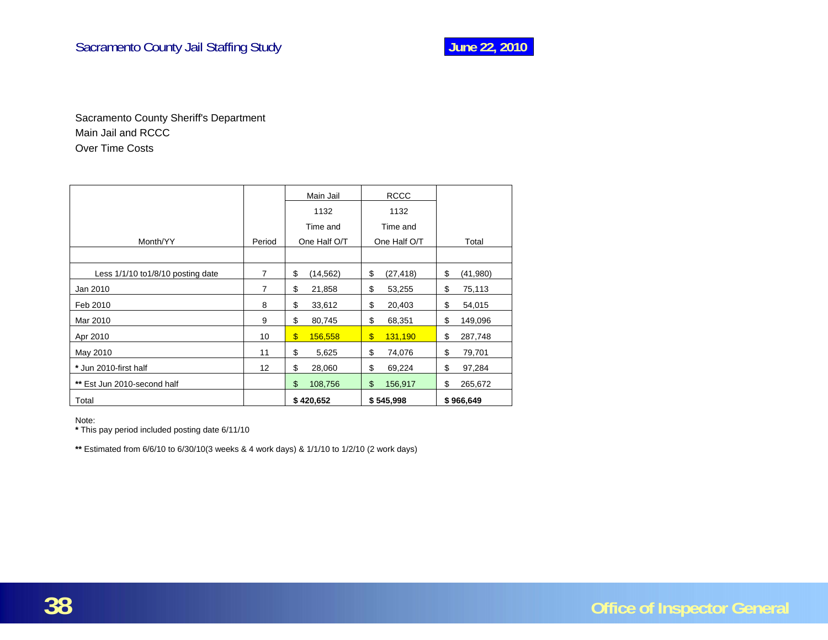Sacramento County Sheriff's Department Main Jail and RCCC Over Time Costs

|                                    |        | Main Jail                    | <b>RCCC</b>                          |                |
|------------------------------------|--------|------------------------------|--------------------------------------|----------------|
|                                    |        | 1132                         | 1132                                 |                |
|                                    |        | Time and                     | Time and                             |                |
| Month/YY                           | Period | One Half O/T                 | One Half O/T                         | Total          |
|                                    |        |                              |                                      |                |
| Less 1/1/10 to 1/8/10 posting date | 7      | \$<br>(14,562)               | \$<br>(27, 418)                      | \$<br>(41,980) |
| Jan 2010                           | 7      | \$<br>21,858                 | \$<br>53,255                         | \$<br>75,113   |
| Feb 2010                           | 8      | \$<br>33,612                 | \$<br>20,403                         | \$<br>54,015   |
| Mar 2010                           | 9      | \$<br>80,745                 | \$<br>68,351                         | \$<br>149,096  |
| Apr 2010                           | 10     | $\boldsymbol{\$}$<br>156,558 | $\boldsymbol{\mathsf{S}}$<br>131,190 | \$<br>287,748  |
| May 2010                           | 11     | \$<br>5,625                  | \$<br>74,076                         | \$<br>79,701   |
| * Jun 2010-first half              | 12     | \$<br>28,060                 | \$<br>69,224                         | \$<br>97,284   |
| ** Est Jun 2010-second half        |        | \$<br>108,756                | \$<br>156,917                        | \$<br>265,672  |
| Total                              |        | \$420,652                    | \$545,998                            | \$966,649      |

Note:

**\*** This pay period included posting date 6/11/10

**\*\*** Estimated from 6/6/10 to 6/30/10(3 weeks & 4 work days) & 1/1/10 to 1/2/10 (2 work days)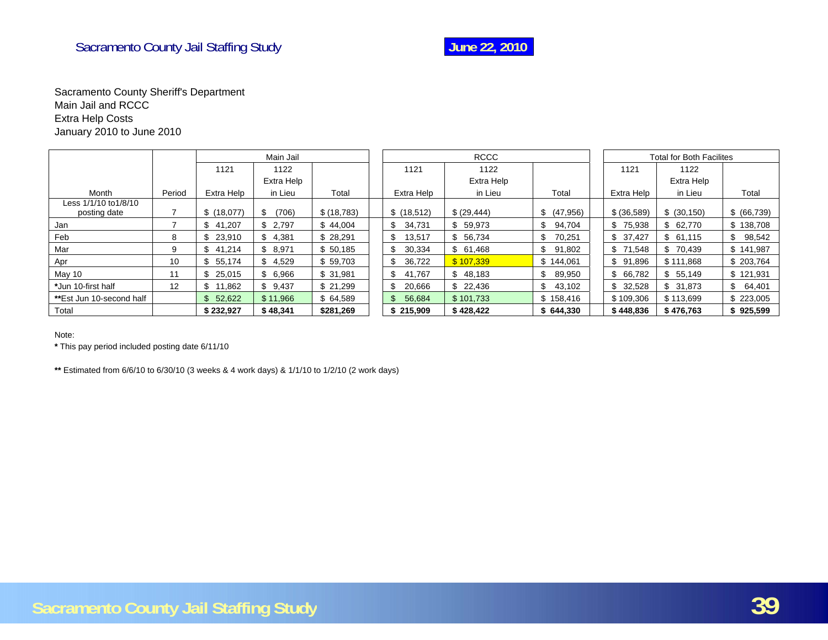

#### Sacramento County Sheriff's Department Main Jail and RCCC Extra Help Costs January 2010 to June 2010

|                                       |        | Main Jail    |             |              |               | <b>RCCC</b>  |              |              | <b>Total for Both Facilites</b> |             |
|---------------------------------------|--------|--------------|-------------|--------------|---------------|--------------|--------------|--------------|---------------------------------|-------------|
|                                       |        | 1121         | 1122        |              | 1121          | 1122         |              | 1121         | 1122                            |             |
|                                       |        |              | Extra Help  |              |               | Extra Help   |              |              | Extra Help                      |             |
| Month                                 | Period | Extra Help   | in Lieu     | Total        | Extra Help    | in Lieu      | Total        | Extra Help   | in Lieu                         | Total       |
| Less 1/1/10 to 1/8/10<br>posting date |        | \$(18,077)   | \$<br>(706) | \$ (18, 783) | \$(18,512)    | \$ (29, 444) | \$ (47,956)  | \$ (36,589)  | \$ (30, 150)                    | \$ (66,739) |
| Jan                                   |        | 41,207<br>\$ | \$2,797     | \$44,004     | 34,731<br>\$  | \$59,973     | \$<br>94,704 | \$75,938     | \$62,770                        | \$138,708   |
| Feb                                   | 8      | 23,910<br>\$ | \$4,381     | \$28,291     | 13,517<br>\$  | \$56,734     | 70,251<br>\$ | \$37,427     | \$61,115                        | 98,542      |
| Mar                                   | 9      | \$<br>41,214 | \$8,971     | \$50,185     | \$<br>30,334  | \$61,468     | \$<br>91,802 | \$71,548     | \$70,439                        | \$141,987   |
| Apr                                   | 10     | \$<br>55,174 | \$4,529     | \$59,703     | 36,722<br>\$. | \$107,339    | \$144,061    | \$91,896     | \$111,868                       | \$203,764   |
| May 10                                | 11     | \$<br>25,015 | \$6,966     | \$31,981     | 41,767<br>\$  | \$48,183     | \$<br>89,950 | \$ 66,782    | \$55,149                        | \$121,931   |
| *Jun 10-first half                    | 12     | 11,862       | \$9,437     | \$21,299     | 20,666<br>ß.  | \$22,436     | \$<br>43,102 | \$<br>32,528 | \$31,873                        | \$64,401    |
| **Est Jun 10-second half              |        | \$52,622     | \$11,966    | \$64,589     | 56,684        | \$101,733    | \$158,416    | \$109,306    | \$113,699                       | \$223,005   |
| Total                                 |        | \$232,927    | \$48,341    | \$281,269    | \$215,909     | \$428,422    | \$644,330    | \$448,836    | \$476,763                       | \$925,599   |

Note:

**\*** This pay period included posting date 6/11/10

**\*\*** Estimated from 6/6/10 to 6/30/10 (3 weeks & 4 work days) & 1/1/10 to 1/2/10 (2 work days)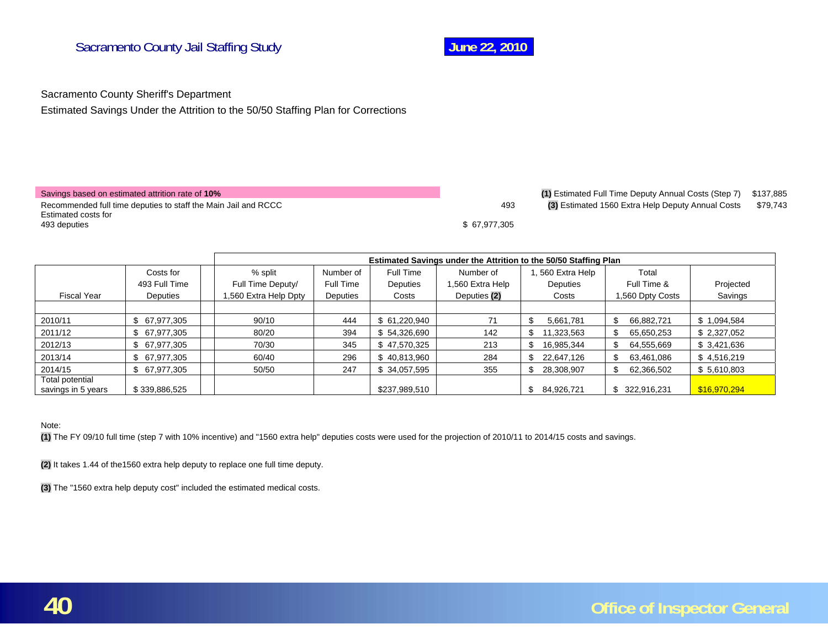

Sacramento County Sheriff's Department

Estimated Savings Under the Attrition to the 50/50 Staffing Plan for Corrections

| Savings based on estimated attrition rate of 10% |
|--------------------------------------------------|
|--------------------------------------------------|

Recommended full time deputies to staff the Main Jail and RCCC **493 (3)** Estimated 1560 Extra Help Deputy Annual Costs \$79,743 Estimated costs for 493 deputies \$ 67,977,305

(1) Estimated Full Time Deputy Annual Costs (Step 7) \$137,885

|                                       |               | Estimated Savings under the Attrition to the 50/50 Staffing Plan |           |               |                  |                  |                  |              |
|---------------------------------------|---------------|------------------------------------------------------------------|-----------|---------------|------------------|------------------|------------------|--------------|
|                                       | Costs for     | % split                                                          | Number of | Full Time     | Number of        | , 560 Extra Help | Total            |              |
|                                       | 493 Full Time | Full Time Deputy/                                                | Full Time | Deputies      | 1,560 Extra Help | Deputies         | Full Time &      | Projected    |
| <b>Fiscal Year</b>                    | Deputies      | ,560 Extra Help Dpty                                             | Deputies  | Costs         | Deputies (2)     | Costs            | 1,560 Dpty Costs | Savings      |
|                                       |               |                                                                  |           |               |                  |                  |                  |              |
| 2010/11                               | \$ 67,977,305 | 90/10                                                            | 444       | \$ 61,220,940 | 71               | 5,661,781        | 66,882,721<br>£. | \$1,094,584  |
| 2011/12                               | \$ 67,977,305 | 80/20                                                            | 394       | \$54,326,690  | 142              | 11,323,563<br>\$ | 65,650,253<br>S  | \$2,327,052  |
| 2012/13                               | \$67,977,305  | 70/30                                                            | 345       | \$47,570,325  | 213              | 16,985,344       | 64,555,669       | \$ 3,421,636 |
| 2013/14                               | \$ 67,977,305 | 60/40                                                            | 296       | \$40,813,960  | 284              | 22,647,126       | 63,461,086<br>£. | \$4,516,219  |
| 2014/15                               | \$ 67,977,305 | 50/50                                                            | 247       | \$34,057,595  | 355              | 28,308,907       | 62,366,502       | \$5,610,803  |
| Total potential<br>savings in 5 years | \$339,886,525 |                                                                  |           | \$237,989,510 |                  | 84,926,721       | 322,916,231<br>S | \$16,970,294 |

#### Note:

**(1)** The FY 09/10 full time (step 7 with 10% incentive) and "1560 extra help" deputies costs were used for the projection of 2010/11 to 2014/15 costs and savings.

**(2)** It takes 1.44 of the1560 extra help deputy to replace one full time deputy.

**(3)** The "1560 extra help deputy cost" included the estimated medical costs.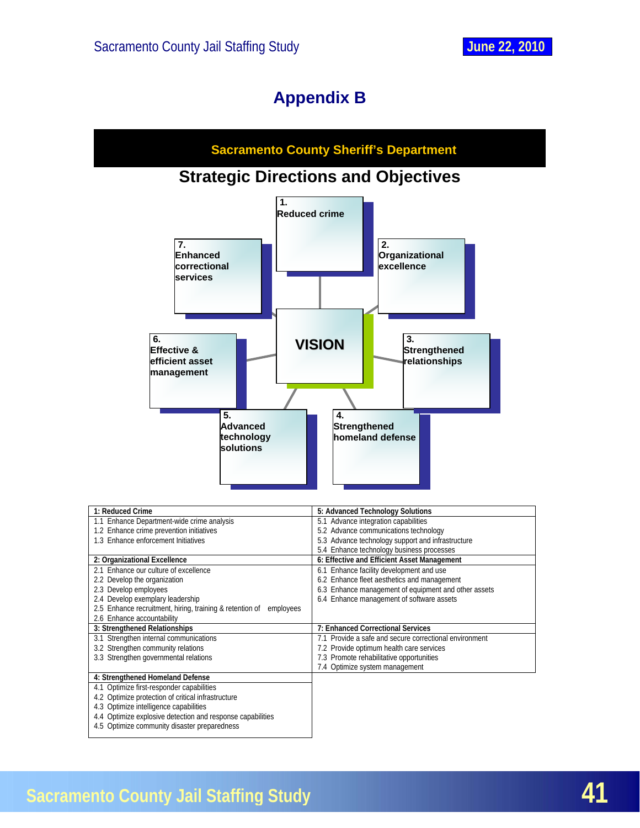# **Appendix B**

<span id="page-41-0"></span>